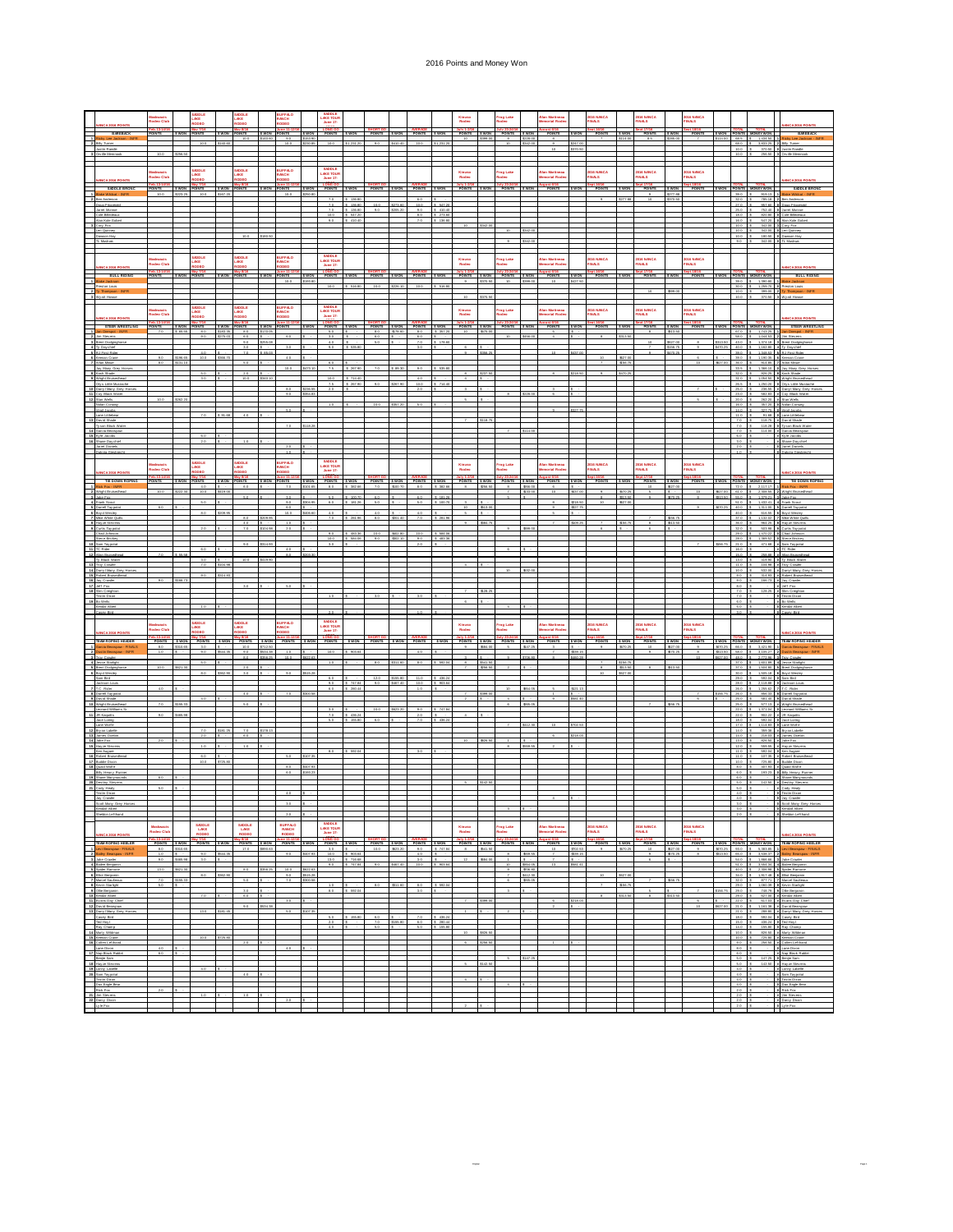## 2016 Points and Money Won

|                                              |                                                                                                                                                                                                                                                               |                                     |                     |                                                                              |                      |                              |                      |                         |                          | AKE TOU                                                                                            |                                     |                                                         |                      |                                                                                                    |                          |                                           |                  | rog Lake                      |                      |                                    |                                                 |                            |                                 |                                                 |                         |                                   |                   |                                                                                                  |                                                                                                                                                                                       |                                                                                                                                                                                                                           |
|----------------------------------------------|---------------------------------------------------------------------------------------------------------------------------------------------------------------------------------------------------------------------------------------------------------------|-------------------------------------|---------------------|------------------------------------------------------------------------------|----------------------|------------------------------|----------------------|-------------------------|--------------------------|----------------------------------------------------------------------------------------------------|-------------------------------------|---------------------------------------------------------|----------------------|----------------------------------------------------------------------------------------------------|--------------------------|-------------------------------------------|------------------|-------------------------------|----------------------|------------------------------------|-------------------------------------------------|----------------------------|---------------------------------|-------------------------------------------------|-------------------------|-----------------------------------|-------------------|--------------------------------------------------------------------------------------------------|---------------------------------------------------------------------------------------------------------------------------------------------------------------------------------------|---------------------------------------------------------------------------------------------------------------------------------------------------------------------------------------------------------------------------|
|                                              |                                                                                                                                                                                                                                                               | seo Clu                             |                     |                                                                              |                      |                              |                      |                         |                          | <b>June 17-</b>                                                                                    |                                     |                                                         |                      |                                                                                                    |                          | Kinuso<br>Rođeo                           |                  |                               |                      |                                    |                                                 | DIS NANCA<br>INÆS          |                                 | NG NANCA<br>NALS                                |                         | 16 NANCA<br>NALS                  |                   |                                                                                                  |                                                                                                                                                                                       |                                                                                                                                                                                                                           |
| Ξ                                            | BAREBACK<br>BAREBACK<br>Ricky Lee Jackson - INFR                                                                                                                                                                                                              | Feb.13-14P<br>POINTS                |                     | \$ WON POINTS                                                                |                      | S WON POINTS<br>10.0         | \$140.60             | S WON POINTS<br>20      | \$153.00                 |                                                                                                    |                                     | SHORT ON SHORT ON AVERAGE                               |                      |                                                                                                    |                          | POINTS SWON POINTS SWON<br>$10 -$         | \$320.00         | $\sim$                        | \$228.00             | POINTS                             | \$ WON                                          | POINTS                     | <b>SWON</b><br>114.00           | Sept.17/16<br>POINTS SWON                       | \$285.00                | Sept. 18/16<br>POINTS             |                   |                                                                                                  | S WON POINTS MONEY WON<br>\$114.00 68.5 \$ 1,434.50                                                                                                                                   | <b>BAREBACK</b><br>cky Lee Jackson - INF                                                                                                                                                                                  |
| $\frac{1}{2}$                                |                                                                                                                                                                                                                                                               |                                     |                     |                                                                              | \$140.6              |                              |                      |                         |                          |                                                                                                    |                                     |                                                         |                      |                                                                                                    |                          |                                           |                  |                               |                      |                                    | tzar on                                         |                            |                                 |                                                 |                         |                                   |                   | $10.0$ 5                                                                                         | 650 \$ 350325<br>370.50 0                                                                                                                                                             |                                                                                                                                                                                                                           |
|                                              | by its Memnopl                                                                                                                                                                                                                                                |                                     |                     |                                                                              |                      |                              |                      |                         |                          |                                                                                                    |                                     |                                                         |                      |                                                                                                    |                          |                                           |                  |                               |                      |                                    |                                                 |                            |                                 |                                                 |                         |                                   |                   | $10.0$ 5                                                                                         | - 255.5                                                                                                                                                                               |                                                                                                                                                                                                                           |
|                                              |                                                                                                                                                                                                                                                               |                                     |                     | SADDLE<br>LAKE<br>RODEO                                                      |                      | MODLE<br>.AKE                |                      | IUFFALO<br>IANCH        |                          | SADDLE<br>AKE TOUR                                                                                 |                                     |                                                         |                      |                                                                                                    |                          | Kinuso<br>Rođeo                           |                  | rog Lake                      |                      | an Martines                        |                                                 | 016 NANCA<br>1NALS         |                                 | 1016 NANCA<br>'INALS                            |                         | IS NANCA<br>NALS                  |                   |                                                                                                  |                                                                                                                                                                                       |                                                                                                                                                                                                                           |
|                                              | <b>NANCA 2016 POINTS</b>                                                                                                                                                                                                                                      | deo Clu<br>Feb.13-14/16<br>POINTS   |                     |                                                                              |                      |                              |                      |                         |                          | June 17-                                                                                           |                                     |                                                         |                      |                                                                                                    |                          |                                           |                  |                               |                      |                                    |                                                 |                            |                                 |                                                 |                         |                                   |                   |                                                                                                  |                                                                                                                                                                                       | <b>WCA 2016 POINTS</b>                                                                                                                                                                                                    |
| $\begin{array}{c} \hline \hline \end{array}$ | SADDLE BRONC<br>Blake Wildcat - INFR                                                                                                                                                                                                                          | 10.0                                | \$ WON<br>\$223.25  | POINTS<br>10.0                                                               | \$ WON<br>\$167.20   | POINTS                       | \$ WON               | POINTS<br>10.0          | \$250.80                 | POINTS                                                                                             | \$ WON                              | POINTS SWON POINTS                                      |                      |                                                                                                    | <b>SWON</b>              | POINTS SWON                               |                  | July 23-24/16<br>POINTS 5 WON |                      | POINTS                             |                                                 | POINTS                     | <b>SWON</b>                     | POINTS                                          | <b>SWON</b><br>\$277.88 | pt.18/16<br>POINTS                |                   |                                                                                                  | S WON POINTS MONEY WON<br>39.0 \$ 919.13                                                                                                                                              | SADDLE BRONC<br>e Wildcat - INFR                                                                                                                                                                                          |
|                                              | <b>Ben Anderson</b><br>Doug Fitxgerald<br>Jarret Monroe                                                                                                                                                                                                       |                                     |                     |                                                                              |                      |                              |                      |                         |                          | 7.0<br>$\frac{7.0}{7.0}$                                                                           | \$ 136.80<br>$$136.80$<br>$$136.80$ | $rac{10.0}{9.0}$                                        | \$273.60<br>\$205.20 | 6.0<br>$rac{10.0}{9.0}$                                                                            | \$ 547.20                |                                           |                  |                               |                      |                                    |                                                 |                            |                                 |                                                 | \$370.50                |                                   |                   |                                                                                                  | 32.0 \$ 785.18 2<br>27.0 \$ 267.00 \$<br>25.0 \$ 752.40 \$                                                                                                                            | Ben Anderson<br>Doug Fitxgerald                                                                                                                                                                                           |
|                                              | Cole Billedeaux<br>Alan Kole Gobert                                                                                                                                                                                                                           |                                     |                     |                                                                              |                      |                              |                      |                         |                          | 10.0<br>20                                                                                         | \$ 547.20<br>\$410.40               |                                                         |                      | $\begin{array}{c c c c c c} \hline 3.0 & 5 & 410.40 \\ \hline 3.0 & 5 & 273.60 \end{array}$<br>7.0 | \$ 136.80                |                                           |                  |                               |                      |                                    |                                                 |                            |                                 |                                                 |                         |                                   |                   |                                                                                                  | 16.0 \$ 547.20                                                                                                                                                                        | Jamet Monroe<br>Cole Billedeaux<br>Alan Kole Gobert                                                                                                                                                                       |
|                                              | Cary Fox<br>Len Quinney                                                                                                                                                                                                                                       |                                     |                     |                                                                              |                      |                              |                      |                         |                          |                                                                                                    |                                     |                                                         |                      |                                                                                                    |                          |                                           |                  |                               |                      |                                    |                                                 |                            |                                 |                                                 |                         |                                   |                   | $10.0$ \$                                                                                        | 10.0 \$ 342.00<br>342.00                                                                                                                                                              | Corr Fax<br>an Quinney                                                                                                                                                                                                    |
|                                              | Dawson Hay<br>TL Markets                                                                                                                                                                                                                                      |                                     |                     |                                                                              |                      |                              | \$180.5              |                         |                          |                                                                                                    |                                     |                                                         |                      |                                                                                                    |                          |                                           |                  | $\sim$                        |                      |                                    |                                                 |                            |                                 |                                                 |                         |                                   |                   |                                                                                                  | 10.0 \$ 180.50<br>9.0 \$ 342.00 0 TL Munkway                                                                                                                                          | Dawson Hay                                                                                                                                                                                                                |
| $\begin{array}{c} \hline \end{array}$        |                                                                                                                                                                                                                                                               |                                     |                     |                                                                              |                      |                              |                      |                         |                          |                                                                                                    |                                     |                                                         |                      |                                                                                                    |                          |                                           |                  |                               |                      |                                    |                                                 |                            |                                 |                                                 |                         |                                   |                   |                                                                                                  |                                                                                                                                                                                       |                                                                                                                                                                                                                           |
|                                              |                                                                                                                                                                                                                                                               | skwacis<br>deo Club                 |                     | DDLE<br>WE                                                                   |                      | ODLE                         |                      | <b>ITEAO</b>            |                          | AKE TOUR<br>June 17-                                                                               |                                     |                                                         |                      |                                                                                                    |                          | Kinuso<br>Rodeo                           |                  | rog Lake<br>deo               |                      | an Martinea<br>Imorial Rodi        |                                                 | 1016 NANCA<br>11NALS       |                                 | 016 NANCA<br>INALS                              |                         | NG NANCA<br>INALS                 |                   |                                                                                                  |                                                                                                                                                                                       |                                                                                                                                                                                                                           |
|                                              | NAVCA 2016 PO<br>1 Blake Jackson<br>2 Ty Thompson - I<br>3 Ty Thompson - I<br>3 Wy at Home<br>BULL RIDING<br>Re Jackson                                                                                                                                       | <b>YOINTS</b>                       |                     | <b>DEO</b><br>5 WON POINTS                                                   |                      | 5 WON POINTS                 |                      | SWON POINTS             | <b>S WON</b>             |                                                                                                    |                                     | POINTS SWON POINTS SWON POINTS SWON                     |                      |                                                                                                    |                          | POINTS SWON POINTS SWON                   |                  |                               |                      | POINTS SWON                        |                                                 | <b>POINTS</b>              | <b>SWON</b>                     | <b>POINTS</b>                                   | <b>SWON</b>             | <b>POINTS</b>                     |                   |                                                                                                  | SWON POINTS MONEY WON                                                                                                                                                                 | <b>BULL RIDING</b>                                                                                                                                                                                                        |
|                                              |                                                                                                                                                                                                                                                               |                                     |                     |                                                                              |                      |                              |                      | 10.0                    | 1123.8                   | 10.0                                                                                               | 5 516.80                            | 10.0                                                    | \$226.10             | 10.0                                                                                               | <b>C</b> stea            | $\overline{a}$                            | an sa            | 10                            |                      |                                    |                                                 |                            |                                 |                                                 |                         |                                   |                   |                                                                                                  | 39.0 \$ 1,390.00<br>1,259.70                                                                                                                                                          | ston Louis                                                                                                                                                                                                                |
|                                              |                                                                                                                                                                                                                                                               |                                     |                     |                                                                              |                      |                              |                      |                         |                          |                                                                                                    |                                     |                                                         |                      |                                                                                                    |                          | 10                                        |                  |                               |                      |                                    |                                                 |                            |                                 |                                                 | 5000                    |                                   |                   |                                                                                                  |                                                                                                                                                                                       | 10.0 \$ 309.00 2 Ty Thompson -<br>10.0 \$ 370.50 3 Wyatt House                                                                                                                                                            |
|                                              |                                                                                                                                                                                                                                                               |                                     |                     |                                                                              |                      |                              |                      |                         |                          | SADDLE                                                                                             |                                     |                                                         |                      |                                                                                                    |                          |                                           |                  |                               |                      |                                    |                                                 |                            |                                 |                                                 |                         |                                   |                   |                                                                                                  |                                                                                                                                                                                       |                                                                                                                                                                                                                           |
|                                              | <b>NANCA 2016 POINTS</b>                                                                                                                                                                                                                                      | iskwacis<br>odeo Club               |                     | SADDLE<br>JAKE<br>todeo                                                      |                      | <b>UDDLE</b><br>JKE<br>IODEO |                      | UFFÆO<br>ANCH<br>ODEO   |                          | LAKE TOUR<br>June 17-                                                                              |                                     |                                                         |                      |                                                                                                    |                          | Kinuso<br>Rođeo                           |                  | 'rog Lake<br>tedeo            |                      | lan Martinea<br>emorial Rod        |                                                 | 2016 NANCA<br>FINALS       |                                 | 2016 NANCA<br>FINALS                            |                         | DI <mark>G NANCA</mark><br>'INALS |                   |                                                                                                  |                                                                                                                                                                                       |                                                                                                                                                                                                                           |
|                                              | STEER WRESTLING<br>Ian Onespot - INFR                                                                                                                                                                                                                         | <b>YOINTS</b><br>$70-$              | \$ WON<br>5.05.2    | Nav 7/16<br>NOINTS<br>80                                                     | \$ WON<br>\$183.35   | oin TS<br>$-8.0$             | \$ WOM<br>\$170.0    | ing 11-12<br>DINTS      |                          | <b>LONG GO</b><br>POINTS<br>50                                                                     | s won                               | POINTS SWON POINTS<br>80                                | \$178.60             | $80 -$                                                                                             | <b>SWON</b><br>\$ 357.20 | POINTS<br>$10 -$                          | s wor<br>\$75.00 | aly 23-24/<br>POINTS          |                      | <b>POINTS</b>                      |                                                 | POINTS                     | \$W <sub>0</sub>                | POINTS<br>- 8 -                                 | <b>SWON</b><br>213.50   | pt.15/16<br>POINTS                | s wos             |                                                                                                  | <b>TOTAL TOTAL</b><br>POINTS MONEY WON<br>67.0 \$ 1,743.25                                                                                                                            | STEER WRESTLING<br>Crisspot - INFR                                                                                                                                                                                        |
|                                              | Jim Stevens<br><b>Brent Dodginghors</b>                                                                                                                                                                                                                       |                                     |                     | $-20$                                                                        | \$275.00             | $-6.0$<br>2.0                |                      | $60 -$                  |                          | 30<br>4.0                                                                                          |                                     | 6.0                                                     |                      | $-6.0$<br>7.0                                                                                      | \$178.6                  |                                           |                  |                               |                      |                                    |                                                 |                            | 313.5                           |                                                 | \$627.0                 |                                   |                   |                                                                                                  | 58.0 \$ 1.044.53 \$<br>43.0 \$ 1.374.18                                                                                                                                               | Jim Stevens<br><b>Brent Dodgingho</b>                                                                                                                                                                                     |
|                                              | Ty Day chief<br>RJ First Ride                                                                                                                                                                                                                                 |                                     |                     |                                                                              |                      |                              |                      |                         |                          |                                                                                                    | \$ 535.00                           |                                                         |                      |                                                                                                    |                          |                                           |                  |                               |                      |                                    |                                                 |                            |                                 |                                                 |                         |                                   |                   | $40.0 - 5$<br>39.0                                                                               | 1.162.85<br>1,348.53                                                                                                                                                                  | RJ First Ride                                                                                                                                                                                                             |
|                                              | Keeran Crane<br>Arlan Minue                                                                                                                                                                                                                                   | 9.0                                 | \$195.65<br>says on | 10.0                                                                         | \$355.70             |                              |                      | 4.0                     |                          |                                                                                                    |                                     |                                                         |                      |                                                                                                    |                          |                                           |                  |                               |                      |                                    |                                                 |                            | \$27.00<br>156.75               |                                                 |                         |                                   |                   | $35.0$ $5$                                                                                       | 39.0 \$ 1.190.35<br>214.85                                                                                                                                                            | Keenan Crane<br>Arlan Minue                                                                                                                                                                                               |
|                                              | Jay Many Grey Ha<br>Kash Shade                                                                                                                                                                                                                                |                                     |                     | 50                                                                           |                      | 2.0                          |                      |                         | \$473.10                 | 75                                                                                                 | \$ 267.90                           |                                                         | \$0.30               | 90                                                                                                 | \$ 535.00                |                                           |                  |                               |                      |                                    |                                                 |                            |                                 |                                                 |                         |                                   |                   |                                                                                                  | $33.5$ \$ $1,365,10$<br>$32.0$ \$ $926,25$                                                                                                                                            | Jay Mary Green<br>Kash Shade                                                                                                                                                                                              |
|                                              | Wright Bruisedhead<br><b>Otva Little Mustache</b>                                                                                                                                                                                                             |                                     |                     | 3.0                                                                          |                      | 10.0                         | \$340.10             |                         |                          | 10.0<br>7.5                                                                                        | \$714.40<br>\$ 267.90               |                                                         | story on             | $40 -$<br>10.0                                                                                     | \$ 714.40                |                                           |                  |                               |                      |                                    |                                                 |                            |                                 |                                                 |                         |                                   |                   |                                                                                                  | $\begin{array}{cccccc} 32.0 & 5 & 026.25 \\ 31.0 & 5 & 1.054.50 \end{array}$<br>26.5 \$ 1,250.20                                                                                      | Wright Bruiseches<br>Oiva Little Mustach                                                                                                                                                                                  |
|                                              | Darryl Many Grey Hi<br>Coy Black Water                                                                                                                                                                                                                        |                                     |                     |                                                                              |                      |                              |                      | 80<br>9.0               | <b>kyas os</b><br>354.83 | 20                                                                                                 |                                     |                                                         |                      | 20                                                                                                 |                          |                                           |                  |                               |                      |                                    |                                                 |                            |                                 |                                                 |                         |                                   |                   | $250 - 5$<br>23.0                                                                                | $236.55$<br>502.83                                                                                                                                                                    | Dary   Mary Grey<br>Coy Black Water                                                                                                                                                                                       |
|                                              | Stan Walts<br><b>Nolan Consen</b>                                                                                                                                                                                                                             |                                     | \$262.20            |                                                                              |                      |                              |                      |                         |                          |                                                                                                    |                                     |                                                         |                      |                                                                                                    |                          |                                           |                  |                               |                      |                                    |                                                 |                            |                                 |                                                 |                         |                                   |                   | 20.0 \$<br>15.0 \$                                                                               | 262.20<br>357.20                                                                                                                                                                      | Stan Wells<br>Notin Convey                                                                                                                                                                                                |
| $\overline{13}$                              | <b><i><u>Ingil Jacobs</u></i></b><br>Lane Littlebear                                                                                                                                                                                                          |                                     |                     | 7.0                                                                          | \$ 91.65             | 4.0                          |                      |                         |                          |                                                                                                    |                                     |                                                         |                      |                                                                                                    |                          |                                           |                  |                               |                      |                                    |                                                 |                            |                                 |                                                 |                         |                                   |                   | 14.0 \$                                                                                          | $\frac{527.75}{91.68}$<br>$\begin{array}{cccc} 11.0 & \textbf{5} & 91.65 \\ 7.0 & \textbf{5} & 118.75 \end{array}.$                                                                   | Virgil Jacobs<br>Lane Littlebear                                                                                                                                                                                          |
|                                              | David Shade<br>Tyson Black Water                                                                                                                                                                                                                              |                                     |                     |                                                                              |                      |                              |                      | 7.0                     | \$118.28                 |                                                                                                    |                                     |                                                         |                      |                                                                                                    |                          |                                           | \$118.7          |                               |                      |                                    |                                                 |                            |                                 |                                                 |                         |                                   |                   |                                                                                                  | 7.0 \$ 118.25<br>7.0 \$ 114.00                                                                                                                                                        | David Shade<br>Ty son Black Water                                                                                                                                                                                         |
|                                              | Garcia Bearapaw<br>Kyle Jacoba<br>Shane Daychief                                                                                                                                                                                                              |                                     |                     | 6.0<br>2.0                                                                   |                      |                              |                      |                         |                          |                                                                                                    |                                     |                                                         |                      |                                                                                                    |                          |                                           |                  |                               |                      |                                    |                                                 |                            |                                 |                                                 |                         |                                   |                   | 6.0<br>$3.0-5$                                                                                   |                                                                                                                                                                                       | Garcia Bearapas<br>Kyle Jacoba<br>Shane Day chief                                                                                                                                                                         |
| $14$<br>$15$<br>$16$                         | <b>Jamet Daniels</b><br>Dakota Giesbrecht                                                                                                                                                                                                                     |                                     |                     |                                                                              |                      |                              |                      | $20 -$<br>1.0           |                          |                                                                                                    |                                     |                                                         |                      |                                                                                                    |                          |                                           |                  |                               |                      |                                    |                                                 |                            |                                 |                                                 |                         |                                   |                   | $2.0$ \$<br>$1.0-5$                                                                              |                                                                                                                                                                                       | <b>O</b> Jamet Daniels<br>Dakota Giesbreg                                                                                                                                                                                 |
|                                              |                                                                                                                                                                                                                                                               |                                     |                     | DDLE                                                                         |                      | DDLE                         |                      | <b>JIFA.O</b>           |                          |                                                                                                    |                                     |                                                         |                      |                                                                                                    |                          |                                           |                  |                               |                      |                                    |                                                 |                            |                                 |                                                 |                         |                                   |                   |                                                                                                  |                                                                                                                                                                                       |                                                                                                                                                                                                                           |
|                                              |                                                                                                                                                                                                                                                               | skwacia<br>deo Club                 |                     | UKE<br>DDEO                                                                  |                      | WE<br><b>DEO</b>             |                      | <b>DEO</b>              |                          | KE TOUR<br>June 17-                                                                                |                                     |                                                         |                      |                                                                                                    |                          | Kinuso<br>Rodeo                           |                  | frag Lake<br>todeo            |                      | lan Martineau<br>emorial Rode      |                                                 | 2016 NANCA<br>FINALS       |                                 | 016 NANCA<br>1NALS                              |                         | IS NANCA<br>NALS                  |                   |                                                                                                  |                                                                                                                                                                                       |                                                                                                                                                                                                                           |
| $\overline{\phantom{a}}$                     | TIE DOWN ROMNG<br>ick fax - INFR                                                                                                                                                                                                                              | OINTS                               |                     | <b>S WON POINTS</b><br>4.0                                                   | <b>S WON</b>         | POINTS<br>6.0                | <b>S WON</b>         | <b>POINTS</b><br>7.0    | <b>S WON</b><br>101.6    | 8.0                                                                                                | 382.66                              | POINTS SWON POINTS SWON POINTS SWON<br>70               |                      | 80                                                                                                 | \$ 382.68                | POINTS SWON POINTS SWON<br>$\overline{a}$ | \$55.5           |                               | www.co.              | <b>POINTS</b>                      | <b>S WON</b>                                    | POINTS                     | <b>SWON</b>                     | <b>POINTS</b>                                   | 5 WON<br>\$27.00        | POINTS                            |                   |                                                                                                  | SWON POINTS MONEY WON                                                                                                                                                                 | TIE DOWN ROPING                                                                                                                                                                                                           |
|                                              | Wright Bru<br>Jake Fox                                                                                                                                                                                                                                        | 10.0                                |                     | 10.0                                                                         | \$419.00             |                              |                      | 3.0                     |                          | 50                                                                                                 | \$ 100.7                            | 6.0                                                     |                      | 6.0                                                                                                | \$181.2                  |                                           |                  |                               | \$33.00              |                                    |                                                 |                            | tenn or<br>513.55               |                                                 | \$470.2                 |                                   | #27.00<br>\$13.50 |                                                                                                  | $\begin{array}{cccc} 72.0 & 5 & 2.117.17 \\ 61.0 & 5 & 2.308.95 \end{array}$<br>55.0 \$ 1.379.21                                                                                      | Jake Fox                                                                                                                                                                                                                  |
|                                              | Frank Scout<br>Darrell Tay potes                                                                                                                                                                                                                              | 6.0                                 |                     | 5.0                                                                          |                      |                              |                      | $9.0 -$<br>6.0          | \$304.95                 | 6.0                                                                                                | \$ 181.26                           | 50                                                      |                      | $50 -$                                                                                             | \$ 100.70                | 10                                        | Is.<br>\$13.00   |                               |                      |                                    | \$218.50<br>\$127.75                            |                            | \$27.00                         |                                                 |                         |                                   | \$20.25           |                                                                                                  | 51.0 \$ 1.432.41<br>40.0 \$ 1,311.00                                                                                                                                                  | Frank Scout<br>Damel Tay poted                                                                                                                                                                                            |
|                                              | Boy d Wesley<br>Mice White Quib                                                                                                                                                                                                                               |                                     |                     | $40 -$                                                                       | \$209.95             | 8.0                          |                      | 10.0                    | \$406.60                 | $\frac{40}{70}$                                                                                    | 281.90                              | $\begin{array}{ccc} 4.0 & 5 \\ 8.0 & 520.4 \end{array}$ | \$201.40             | $-40$ $5$<br>$70$ $5$ $20$                                                                         |                          | $\overline{\phantom{a}}$                  | т.               |                               |                      |                                    |                                                 |                            |                                 |                                                 | 9567                    |                                   |                   |                                                                                                  | $\begin{array}{ccccccccc}\n&40.0 & 5 & 616.55 \\ &40.0 & 5 & 616.55 \\ &37.0 & 5 & 1.132.02\n\end{array}$                                                                             | Boyd Wesley<br>Mike White Outle                                                                                                                                                                                           |
|                                              |                                                                                                                                                                                                                                                               |                                     |                     | 2.0                                                                          |                      | $-4.0$<br>7.0                | s -<br>\$104.98      | 1.0<br>2.0              |                          |                                                                                                    |                                     |                                                         |                      |                                                                                                    |                          |                                           | \$54.75          |                               |                      |                                    | \$00.25                                         |                            | \$56.75                         |                                                 | \$13.50                 |                                   |                   |                                                                                                  | $\begin{array}{ccc} 37.0 & 5 & 1.132.02 \\ 36.0 & 5 & 364.25 \end{array}$<br>32.0 \$ 503.95 \$                                                                                        | Hayze Stevens<br>Curtis Taypotat                                                                                                                                                                                          |
|                                              | The White Cult<br>8 Hay as Stevens<br>8 Hay as Stevens<br>9 Cutts Tay potat<br>10 Sam Tay<br>10 Sam Tay<br>10 Sam Tay<br>10 Sam Tay<br>10 Sam Tay<br>10 Sam Tay<br>10 Sam Tay<br>10 Sam Tay<br>10 Sam Tay<br>10 Sam Tay<br>10 Sam Tay<br>10 Sam Tay<br>10 Sam |                                     |                     |                                                                              |                      |                              |                      |                         |                          | 2.0<br>10.0                                                                                        | \$453.36<br>\$ 554.00               | 10.0<br>9.0                                             | \$822.80<br>\$302.10 | 10.0<br>3.0                                                                                        | \$ 584.00<br>\$ 483.36   |                                           |                  |                               |                      |                                    |                                                 |                            |                                 |                                                 |                         |                                   |                   | $29.0$ \$                                                                                        | 1,470.22<br>1,369.52<br>25.0 \$ 1,369.52 \$<br>21.0 \$ 471.65 \$                                                                                                                      | Chad Johnson<br>Steve Brickey                                                                                                                                                                                             |
|                                              |                                                                                                                                                                                                                                                               |                                     |                     | 6.0                                                                          |                      | $-2.0$                       | \$314.93             | 4.0                     |                          | 3.0                                                                                                |                                     |                                                         |                      | 20                                                                                                 |                          |                                           |                  |                               |                      |                                    |                                                 |                            |                                 |                                                 |                         |                                   |                   |                                                                                                  | 15.0 \$                                                                                                                                                                               | Sam Taypotat<br>TC Rider                                                                                                                                                                                                  |
|                                              | 10 Sam Taypotat<br>11 TC Rider<br>12 Allan Bruisechuad<br>13 Tray Crauler<br>14 Darryl Mary Coey<br>14 Darryl Mary Coey<br>15 Robert Brateler<br>17 Jaff Fox<br>17 Jaff Fox<br>17 Jaff Fox<br>17 Sam Crauler                                                  |                                     | \$ 55.58            | 30                                                                           |                      | 10.0                         | \$419.90             | 80                      | \$203.30                 |                                                                                                    |                                     |                                                         |                      |                                                                                                    |                          |                                           |                  |                               |                      |                                    |                                                 |                            |                                 |                                                 |                         |                                   |                   |                                                                                                  | $\begin{array}{ccccccccc}\n15.0 & 5 & 255.55 & 6 \\ 13.0 & 5 & 419.90 & 6\n\end{array}$<br>$\begin{array}{cccc} 13.0 & \textbf{5} & 419.90 \\ 11.0 & \textbf{5} & 104.98 \end{array}$ | Alan Bruisechead<br>Ty Black Water                                                                                                                                                                                        |
|                                              |                                                                                                                                                                                                                                                               |                                     |                     | 7.0<br>20                                                                    | \$104.98<br>\$314.93 |                              |                      |                         |                          |                                                                                                    |                                     |                                                         |                      |                                                                                                    |                          |                                           |                  |                               |                      |                                    |                                                 |                            |                                 |                                                 |                         |                                   |                   | $2.0$ 5                                                                                          | 314.93                                                                                                                                                                                | Troy Craster<br>10.0 \$ 532.00 # Dany   Many Grey Hon<br><b>Robert Bruisedhea</b>                                                                                                                                         |
|                                              |                                                                                                                                                                                                                                                               |                                     |                     |                                                                              |                      |                              |                      |                         |                          |                                                                                                    |                                     |                                                         |                      |                                                                                                    |                          |                                           |                  |                               |                      |                                    |                                                 |                            |                                 |                                                 |                         |                                   |                   |                                                                                                  |                                                                                                                                                                                       |                                                                                                                                                                                                                           |
|                                              |                                                                                                                                                                                                                                                               |                                     | \$105.73            |                                                                              |                      |                              |                      |                         |                          |                                                                                                    |                                     |                                                         |                      |                                                                                                    |                          |                                           |                  |                               |                      |                                    |                                                 |                            |                                 |                                                 |                         |                                   |                   | $9.0$ \$                                                                                         | 105.73                                                                                                                                                                                | Jay Cranter                                                                                                                                                                                                               |
|                                              | Sim Creighton                                                                                                                                                                                                                                                 |                                     |                     |                                                                              |                      |                              |                      |                         |                          |                                                                                                    |                                     |                                                         |                      |                                                                                                    |                          |                                           |                  |                               |                      |                                    |                                                 |                            |                                 |                                                 |                         |                                   |                   | 8.05                                                                                             | 7.0 \$ 128.25 \$                                                                                                                                                                      | Jeff Fox<br>Slim Creighton                                                                                                                                                                                                |
| is    is<br> -                               | Triatin Dixon<br>o Wells                                                                                                                                                                                                                                      |                                     |                     |                                                                              |                      |                              |                      |                         |                          |                                                                                                    |                                     |                                                         |                      |                                                                                                    |                          |                                           |                  |                               |                      |                                    |                                                 |                            |                                 |                                                 |                         |                                   |                   | $7.0$ \$<br>$6.0 - 5$                                                                            |                                                                                                                                                                                       | Triatin Diago<br>Bo Wells                                                                                                                                                                                                 |
| $\overline{a}$                               | Kendal Alber<br>Coney Bird                                                                                                                                                                                                                                    |                                     |                     |                                                                              |                      |                              |                      |                         |                          | 2.0                                                                                                |                                     |                                                         |                      | 1.0                                                                                                |                          |                                           |                  |                               |                      |                                    |                                                 |                            |                                 |                                                 |                         |                                   |                   | $5.0$ 5<br>$3.0 - 5$                                                                             |                                                                                                                                                                                       | Kendal Albe<br>Casey Bird                                                                                                                                                                                                 |
|                                              |                                                                                                                                                                                                                                                               |                                     |                     |                                                                              |                      |                              |                      |                         |                          | SADDLE<br>LAKE TOUR                                                                                |                                     |                                                         |                      |                                                                                                    |                          |                                           |                  | rog Lake                      |                      |                                    |                                                 |                            |                                 |                                                 |                         |                                   |                   |                                                                                                  |                                                                                                                                                                                       |                                                                                                                                                                                                                           |
|                                              | <b>NANCA 2016 POINTS</b>                                                                                                                                                                                                                                      | nasawara<br>pdeo Club               |                     | SADDLE<br>JAKE<br>RODEO                                                      |                      | SADDLE<br>JAKE<br>todeo      |                      | UFFALO<br>ANCH<br>ODEO  |                          | June 17-                                                                                           |                                     |                                                         |                      |                                                                                                    |                          | Kinuso<br>Rođeo                           |                  |                               |                      | an Martine<br>morial Ro            |                                                 | 1916 NANCA<br>'INALS       |                                 | DIS NANCA<br>INALS                              |                         | IS NANCA<br>NALS                  |                   |                                                                                                  |                                                                                                                                                                                       | <b>INCA 2016 POINT</b>                                                                                                                                                                                                    |
|                                              |                                                                                                                                                                                                                                                               | <u>15.13-14/16</u><br>Points<br>8.0 | \$310.05            | POINTS<br>3.0                                                                |                      | POINTS<br>10.0               | s was<br>\$712.50    | POINTS                  |                          | POINTS                                                                                             |                                     | POINTS                                                  |                      | POINTS                                                                                             | s wor                    | POINTS<br>$\overline{\phantom{a}}$        | \$24.00          | <b>IV 23-24/1</b><br>POINTS   |                      | POINTS<br>$\overline{\phantom{a}}$ |                                                 | POINTS                     | \$ WON<br>\$170.25              | POINTS                                          | \$ WON<br>\$27.00       | POINTS<br>$\overline{2}$          | \$70.25           |                                                                                                  | <b>FOTAL TOTAL</b><br><b>POINTS MONEY WON</b><br>65.0 \$ 3,421.90 1                                                                                                                   | <b>TEAM ROPING HEADER</b>                                                                                                                                                                                                 |
|                                              |                                                                                                                                                                                                                                                               | 1.0                                 |                     | 2.0                                                                          | \$544.35             | 2.0<br>8.0                   | \$534.38<br>\$356.25 | 1.0<br>10.0             |                          | 10.0                                                                                               | \$ 903.64                           |                                                         | \$311.60             | 4.0                                                                                                |                          |                                           |                  |                               | \$706.80             |                                    | \$339.15<br>\$460.28                            |                            |                                 |                                                 | \$470.25                | $\sim$                            |                   |                                                                                                  | \$13.50 58.0 \$ 3,105.27 2                                                                                                                                                            | Jarcia Bearapew - FINALS<br>Justin Bearapew - INFR                                                                                                                                                                        |
|                                              | <b>NAVCA2316 POINTS<br/> TEAM ROPING HEADER</b><br>1 Garcia Bassipure - FINALS<br>2 Davis Bassipure - INFR<br>4 Janas Stadight<br>6 Bassi Dadight<br>6 Bassipure - Rod<br>6 Bassipure - Rod Warks                                                             |                                     | \$521.30            | 5.0<br>$80 -$                                                                | \$352.90             | $-2.0$<br>3.0                |                      | 20                      | \$515.28                 | 1.0                                                                                                |                                     |                                                         |                      | 8.0                                                                                                | \$ 592.04                |                                           | \$55.50          |                               |                      |                                    |                                                 | $\sim$<br>10               | \$156.73<br>\$13.50<br>\$627.00 |                                                 | \$13.5                  |                                   |                   |                                                                                                  | 48.0 \$ 2,772.95<br>37.0 \$ 1,601.89<br>37.0 \$ 1,504.80<br>30.0 \$ 1,505.18                                                                                                          | Troy Crawler<br>Jesse Starlight<br><b>Brent Dodginghorse</b><br>Boyd Wesley                                                                                                                                               |
|                                              |                                                                                                                                                                                                                                                               |                                     |                     |                                                                              |                      |                              |                      |                         |                          | 6.0<br>20                                                                                          | \$747.84                            |                                                         | \$155.80<br>\$457.40 | 11.0<br>10.0                                                                                       | \$ 436.24<br>\$ 903.64   |                                           |                  |                               |                      |                                    |                                                 |                            |                                 |                                                 |                         |                                   |                   |                                                                                                  | 29.0 \$ 592.04                                                                                                                                                                        | Sam Bird<br>ackson Louis                                                                                                                                                                                                  |
|                                              |                                                                                                                                                                                                                                                               |                                     |                     |                                                                              |                      | $-4.0$                       |                      | 7.0                     | \$300.58                 | 6.0                                                                                                | \$280.44                            |                                                         |                      | 1.0                                                                                                |                          |                                           | \$329.00         |                               |                      |                                    |                                                 |                            |                                 |                                                 |                         |                                   |                   |                                                                                                  | $\begin{array}{c cccc}\n280 & 5 & 2,118.88 \\ \hline\n28.0 & 5 & 1,225.62\n\end{array}$                                                                                               | T.C. Rider<br>\$155.75 25.0 \$ 855.33 & Danel Taypotat                                                                                                                                                                    |
|                                              |                                                                                                                                                                                                                                                               |                                     | \$155.33            |                                                                              |                      |                              |                      |                         |                          |                                                                                                    |                                     |                                                         |                      |                                                                                                    |                          |                                           |                  |                               |                      |                                    |                                                 |                            |                                 |                                                 | 2557                    |                                   |                   | 25.0 \$<br>$250 - 5$                                                                             | 581.40<br>$577.13 - 6$                                                                                                                                                                | David Shade<br><b>Vright Bruise</b>                                                                                                                                                                                       |
|                                              | S Beart Dogmans<br>6 Boyd Wesley<br>Sam Bird<br>Jackson Louis<br>7 T.C. Rider<br>8 David Studen<br>10 Wilson Louis<br>Leonard Williams<br>10 Wilson<br>onard Williams<br><b>JR Kaguitta</b>                                                                   |                                     | \$465.95            |                                                                              |                      |                              |                      |                         |                          |                                                                                                    | \$ 435.24                           |                                                         |                      | 90<br>2.0                                                                                          | 747.8                    |                                           |                  |                               |                      |                                    |                                                 |                            |                                 |                                                 |                         |                                   |                   | $720 - 5$                                                                                        | 1,371.04<br>22.0 \$ 902.22                                                                                                                                                            | eonard Wil<br>JR Kapulta                                                                                                                                                                                                  |
|                                              |                                                                                                                                                                                                                                                               |                                     |                     |                                                                              |                      |                              |                      |                         |                          |                                                                                                    |                                     |                                                         |                      |                                                                                                    |                          |                                           |                  |                               |                      |                                    |                                                 |                            |                                 |                                                 |                         |                                   |                   | 18.0 \$<br>$17.0 - 5$                                                                            | 592.04<br>$1.14.83 + 1.0$                                                                                                                                                             | Jace Loring<br>ane Wolfe                                                                                                                                                                                                  |
|                                              |                                                                                                                                                                                                                                                               |                                     |                     | $20 -$                                                                       |                      | 6.0                          |                      |                         |                          |                                                                                                    |                                     |                                                         |                      |                                                                                                    |                          |                                           |                  |                               |                      |                                    |                                                 |                            |                                 |                                                 |                         |                                   |                   | 14.0<br>14.0 \$<br>13.0 \$                                                                       | 359.3<br>218.03<br>826.50                                                                                                                                                             | Bryan Label<br>James Oxebi<br>Jake Fox                                                                                                                                                                                    |
|                                              | 11 Jacques Jacques<br>Jacques Victor<br>12 Styram Catalin<br>13 Januar Crucin<br>14 Jaka Fox<br>15 Hayun Stevens<br>Ken Austre<br>Ken Augure                                                                                                                  |                                     |                     |                                                                              |                      |                              |                      |                         |                          |                                                                                                    |                                     |                                                         |                      |                                                                                                    |                          |                                           |                  |                               |                      |                                    |                                                 |                            |                                 |                                                 |                         |                                   |                   | $120 - 5$<br>11.0                                                                                | 22.25<br>592.04                                                                                                                                                                       | tayze Stev<br><b>Gen August</b>                                                                                                                                                                                           |
| $\overline{11}$                              | Ken Augere<br>16 Robert Bruiseche<br><b>Budde Dixon</b>                                                                                                                                                                                                       |                                     |                     | 6.0<br>10.0                                                                  |                      |                              |                      |                         |                          |                                                                                                    |                                     |                                                         |                      |                                                                                                    |                          |                                           |                  |                               |                      |                                    |                                                 |                            |                                 |                                                 |                         |                                   |                   | $11.0$ 5<br>$10.0$ 5                                                                             | 107.35<br>725.80                                                                                                                                                                      | <b>Robert Bruises</b><br><b>Buddle Dixor</b>                                                                                                                                                                              |
|                                              | Quaid Wolfe<br>Billy Heavy Rom                                                                                                                                                                                                                                |                                     |                     |                                                                              |                      |                              |                      | 80                      | \$407.93<br>\$193.23     |                                                                                                    |                                     |                                                         |                      |                                                                                                    |                          |                                           |                  |                               |                      |                                    |                                                 |                            |                                 |                                                 |                         |                                   |                   | 80 <sup>5</sup>                                                                                  | 407.93<br>193.23                                                                                                                                                                      | Quaid Wolf e<br>Billy Heavy Run                                                                                                                                                                                           |
| $\frac{17}{16}$                              | Billy Heavy Runner<br>19 Share Mary sounds<br>Destiny Stevens                                                                                                                                                                                                 |                                     |                     |                                                                              |                      |                              |                      |                         |                          |                                                                                                    |                                     |                                                         |                      |                                                                                                    |                          |                                           |                  |                               |                      |                                    |                                                 |                            |                                 |                                                 |                         |                                   |                   | $rac{6.0}{6.0}$ \$                                                                               | 5.0 \$ 142.50 #                                                                                                                                                                       | Shane Many wound<br><b>Destiny Stevens</b>                                                                                                                                                                                |
|                                              |                                                                                                                                                                                                                                                               |                                     |                     |                                                                              |                      |                              |                      |                         |                          |                                                                                                    |                                     |                                                         |                      |                                                                                                    |                          |                                           |                  |                               |                      |                                    |                                                 |                            |                                 |                                                 |                         |                                   |                   | $5.0-5$                                                                                          |                                                                                                                                                                                       |                                                                                                                                                                                                                           |
|                                              | 20 Destiny Steve<br>21 Cody Healy<br>Tratin Dixon<br>Jay Crawler<br>Scott Mary G<br><b>Scott Many Grey Horses</b>                                                                                                                                             |                                     |                     |                                                                              |                      |                              |                      | $30 -$                  |                          |                                                                                                    |                                     |                                                         |                      |                                                                                                    |                          |                                           |                  | $\overline{\phantom{a}}$      |                      |                                    |                                                 |                            |                                 |                                                 |                         |                                   |                   | $3.0-5$                                                                                          |                                                                                                                                                                                       | Cody Healy<br>0 Tristin Dison<br>0 Jay Craster<br><b>Scott Many Grey Horses</b>                                                                                                                                           |
|                                              | Sheldon Lefthand                                                                                                                                                                                                                                              |                                     |                     |                                                                              |                      |                              |                      | 20                      |                          |                                                                                                    |                                     |                                                         |                      |                                                                                                    |                          |                                           |                  |                               |                      |                                    |                                                 |                            |                                 |                                                 |                         |                                   |                   |                                                                                                  |                                                                                                                                                                                       |                                                                                                                                                                                                                           |
|                                              | Scott Marry Gr<br>Kendall Albert<br>Sheldon Leftha                                                                                                                                                                                                            |                                     |                     | <b>SADDLE</b><br>LAKE                                                        |                      | <b>SADDLE</b><br>LAKE        |                      | <b>BUFFALO</b><br>RANCH |                          |                                                                                                    |                                     |                                                         |                      |                                                                                                    |                          |                                           |                  |                               |                      |                                    |                                                 |                            |                                 |                                                 |                         |                                   |                   |                                                                                                  |                                                                                                                                                                                       | 3.0 \$ - 0 Scott Mary Grey 1<br>3.0 \$ - 0 Kendali Abert<br>2.0 \$ - 0 Steldon Lefthand                                                                                                                                   |
|                                              |                                                                                                                                                                                                                                                               | Maskwacis<br>todeo Club             |                     |                                                                              |                      |                              |                      |                         |                          | AKE TOUR<br>June 17-                                                                               |                                     |                                                         |                      |                                                                                                    |                          | Kinuso<br>Rodeo                           |                  | frag Lake<br>todeo            |                      | lan Martineau<br>Iemorial Rodec    |                                                 | 2016 NANCA<br>FINALS       |                                 | 2016 NANCA<br>FINALS                            |                         | 2016 NANCA<br>FINALS              |                   |                                                                                                  |                                                                                                                                                                                       |                                                                                                                                                                                                                           |
|                                              |                                                                                                                                                                                                                                                               |                                     | \$310.05            | eb.13-14716 May 7716 May 818 May 8716<br>POINTS SWON POINTS SWON POINTS SWON |                      | 17.0                         | 250.63               | POINTS                  | \$ WON                   |                                                                                                    |                                     |                                                         |                      |                                                                                                    |                          | POINTS SWON                               |                  | POINTS SWON                   |                      | pust tests<br>POINTS               |                                                 | POINTS                     | s won<br>\$70.25                | <b>FOINTS SWON</b><br>POINTS SWON<br>10 \$27.00 |                         | POINTS                            |                   |                                                                                                  |                                                                                                                                                                                       |                                                                                                                                                                                                                           |
|                                              |                                                                                                                                                                                                                                                               | $rac{8.0}{1.0}$<br>9.0              | \$405.95            | 20<br>3.0                                                                    | \$544.30<br>$s -$    |                              |                      | $90 -$                  |                          | $\begin{array}{c cc} 10 & 2 & 203.64 \\ \hline 10.0 & 5 & 203.64 \\ 13.0 & 5 & 716.68 \end{array}$ |                                     |                                                         |                      | $\begin{array}{c ccccc}\n & 4.0 & & 5 & \cdots \\ \hline\n & 3.0 & & 5 & \cdots\n\end{array}$      |                          | 12                                        | \$54.00          | $\Delta$<br>$\sim$            | 200.2<br>$\sim$      | $\tau$<br>$-15$                    | $\frac{5 \text{ WON}}{5702 \text{ N}}$<br>$5 -$ |                            |                                 | $^{\circ}$<br>$\sim$                            | \$27.00<br>$5 -$        | $\frac{2}{3}$                     |                   |                                                                                                  |                                                                                                                                                                                       | <b>SWON FORM MONEY WORK TEAR ROFING HELLER</b><br><b>STORE STORE MONEY WORK TEAR ROFING HELLER</b><br><b>STORE STORE STORE 1 LEVEL DESIGNER FINALS</b><br>STORE 5 1895 95, 2 ABS Creater<br>24.0 5 1895 95, 2 ABS Creater |
|                                              |                                                                                                                                                                                                                                                               | 13.0                                | \$621.30            |                                                                              |                      | 8.0                          | \$356.25             |                         | \$422.63                 | 9.0                                                                                                | \$747.84                            | 9.0                                                     | \$467.40             | 10.0                                                                                               | \$ 903.64                |                                           |                  | $10-10$                       | \$854.05<br>\$705.80 |                                    | 14.1828                                         |                            |                                 |                                                 |                         |                                   |                   |                                                                                                  |                                                                                                                                                                                       |                                                                                                                                                                                                                           |
|                                              | MANCA 2016 POINTS<br>TEAM ROPING HEELER<br>1 Line Bearagne - INFR<br>3 Julie Constant<br>4 Sidder Reances<br>4 Sidder Reances<br>7 Marcel Studiens<br>7 Marcel Studiens                                                                                       | 7.0<br>5.0                          | \$155.33<br>$\sim$  | -8.0                                                                         | \$362.00             | 5.0                          |                      | $\frac{100}{90}$<br>7.0 | \$515.28<br>\$300.58     | 1.0                                                                                                |                                     |                                                         |                      | 8.0 \$311.00 8.0 \$ 592.04                                                                         |                          |                                           |                  | $\epsilon$                    | \$412.30<br>\$105.05 |                                    |                                                 | 10 <sup>10</sup><br>$\tau$ | \$627.00<br>\$56.75             | $\tau$                                          | \$56.75                 |                                   |                   |                                                                                                  | 29.0 \$ 1,060.39 \$                                                                                                                                                                   | 21.0 \$ 1.554.34 \$ Steller-Beniterin<br>40.0 \$ 2.305.35 \$ Steller-Beniterin<br>34.0 \$ 1.917.48 \$ Elliot Beniterin<br>32.0 \$ 877.71 7 Marcel Studients:<br>Marcel Saulteaux<br>Kevin Starlight                       |
|                                              |                                                                                                                                                                                                                                                               |                                     |                     |                                                                              |                      | $3.0$ $5$ -                  |                      |                         |                          | 8.0 \$ 592.04                                                                                      |                                     |                                                         |                      | $30$ $5$ $-$                                                                                       |                          |                                           |                  | $\mathbf{z}$                  | ाऽः                  |                                    |                                                 |                            |                                 |                                                 | $\sim$                  | $\overline{ }$                    |                   |                                                                                                  |                                                                                                                                                                                       |                                                                                                                                                                                                                           |
|                                              |                                                                                                                                                                                                                                                               |                                     |                     | 7.0                                                                          |                      | 6.0<br>9.0 \$534.38          |                      | 3.0                     |                          |                                                                                                    |                                     |                                                         |                      |                                                                                                    |                          |                                           | \$329.00         |                               |                      | $\epsilon$                         | \$218.03                                        | $\overline{\phantom{a}}$   | \$313.50                        |                                                 | \$313.50                | $\epsilon$<br>$10 -$              |                   |                                                                                                  | \$627.00 21.0 \$ 1,161.35 #                                                                                                                                                           | 3156.75 29.0 \$748.79 9 Olive Benjamin<br>31.0 \$748.79 9 Olive Benjamin<br>\$2.0 \$67.00 # Kendal Abent<br>David Bearapaw                                                                                                |
|                                              | The University of March 11<br>19 Novin Starlight<br>2 Olis Berjamin<br>10 Kendal Albert<br>11 Evans Day Chief<br>12 David Beangrow<br>12 David Beangrow                                                                                                       |                                     |                     | 13.0                                                                         | \$181.45             |                              |                      | 50                      | \$107.35                 | 5.0                                                                                                | \$155.80                            | 60                                                      |                      | 7.0                                                                                                | \$ 436.24                |                                           |                  |                               |                      |                                    |                                                 |                            |                                 |                                                 |                         |                                   |                   | $21.0$ \$                                                                                        |                                                                                                                                                                                       | Dany I Mary Grey Horses                                                                                                                                                                                                   |
|                                              |                                                                                                                                                                                                                                                               |                                     |                     |                                                                              |                      |                              |                      |                         |                          | 20<br>$-4.0$                                                                                       | $\sim$                              | 7.0 \$155.80<br>$50 - 5 -$                              |                      | 6.0 \$ 280.44<br>5.0 \$ 155.80                                                                     |                          |                                           |                  |                               |                      |                                    |                                                 |                            |                                 |                                                 |                         |                                   |                   |                                                                                                  | 21.0 \$ 203.80 # DanyI Mary C<br>15.0 \$ 202.04 0 Casey Bird<br>15.0 \$ 435.24 0 Ted Hoy t<br>14.0 \$ 155.80 \$                                                                       | Ray Champ                                                                                                                                                                                                                 |
|                                              |                                                                                                                                                                                                                                                               |                                     |                     | 10.0                                                                         | \$725.80             |                              |                      |                         |                          |                                                                                                    |                                     |                                                         |                      |                                                                                                    |                          |                                           | \$826.50         |                               |                      |                                    |                                                 |                            |                                 |                                                 |                         |                                   |                   |                                                                                                  |                                                                                                                                                                                       | 10.0 \$ 826.50 # Marty Wildman<br>10.0 \$ 725.80 # Keenan Crane                                                                                                                                                           |
|                                              | 12 Darry Mary Cow Blocks<br>Casey Bird<br>Casey Bird<br>Ted Hoyt<br>Ray Champ<br>16 Marty Wildman<br>15 Colten Lefthand<br>15 Colten Lefthand<br>16 Colten Lefthand                                                                                           | $-4.0$                              |                     |                                                                              |                      | 20                           |                      | $-4.0$                  |                          |                                                                                                    |                                     |                                                         |                      |                                                                                                    |                          |                                           | \$25.5           |                               |                      |                                    |                                                 |                            |                                 |                                                 |                         |                                   |                   | 5.0 5                                                                                            |                                                                                                                                                                                       | 10.0 \$ 725.80 # Keenan Crane<br>9.0 \$ 725.50 # Collen Lefthand<br><b>O</b> Lane Dixon                                                                                                                                   |
|                                              |                                                                                                                                                                                                                                                               |                                     |                     |                                                                              |                      |                              |                      |                         |                          |                                                                                                    |                                     |                                                         |                      |                                                                                                    |                          |                                           |                  |                               | \$147.25             |                                    |                                                 |                            |                                 |                                                 |                         |                                   |                   | 5.0                                                                                              |                                                                                                                                                                                       | 6.0 \$ . # New Olivek Rates<br>5.0 \$ 147.25 \$ Denis San                                                                                                                                                                 |
|                                              | Lane Dixon<br>17 Neo Black Rabbit<br>Benie Sam<br>18 Havas Stevens<br>19 Lonny Labelle                                                                                                                                                                        |                                     |                     | $-4.0$                                                                       |                      |                              |                      |                         |                          |                                                                                                    |                                     |                                                         |                      |                                                                                                    |                          |                                           |                  |                               |                      |                                    |                                                 |                            |                                 |                                                 |                         |                                   |                   | $4.0$ $5$                                                                                        | $4.0$ $5$                                                                                                                                                                             | 142.50 # Hayan Stevens<br># Long Labele<br>Sam Taypotat                                                                                                                                                                   |
|                                              |                                                                                                                                                                                                                                                               |                                     |                     |                                                                              |                      |                              |                      |                         |                          |                                                                                                    |                                     |                                                         |                      |                                                                                                    |                          |                                           |                  |                               |                      |                                    |                                                 |                            |                                 |                                                 |                         |                                   |                   | $4.0 - 5$                                                                                        |                                                                                                                                                                                       | <b>Istin Dison</b>                                                                                                                                                                                                        |
|                                              | 19 Earn Taycetal<br>Trian Taycetal<br>Trian Disco<br>Dan East Fox<br>21 Jun Stevern<br>22 Dancy Disco<br>Lyle Fox<br>Dax Eagle Bear<br>Rick Fox                                                                                                               | 2.0                                 |                     | 1.0                                                                          | ls.                  | 1.0                          |                      |                         |                          |                                                                                                    |                                     |                                                         |                      |                                                                                                    |                          |                                           |                  |                               |                      |                                    |                                                 |                            |                                 |                                                 |                         |                                   |                   | $-4.0$ $5$<br>2.0 \$<br>$2.0$ $5$<br>$\begin{array}{c c} 20 & 5 \\ 20 & 5 \\ 20 & 5 \end{array}$ |                                                                                                                                                                                       | 0 Dax Eagle Bear<br>0 Rick Fox<br>Jim Stevens                                                                                                                                                                             |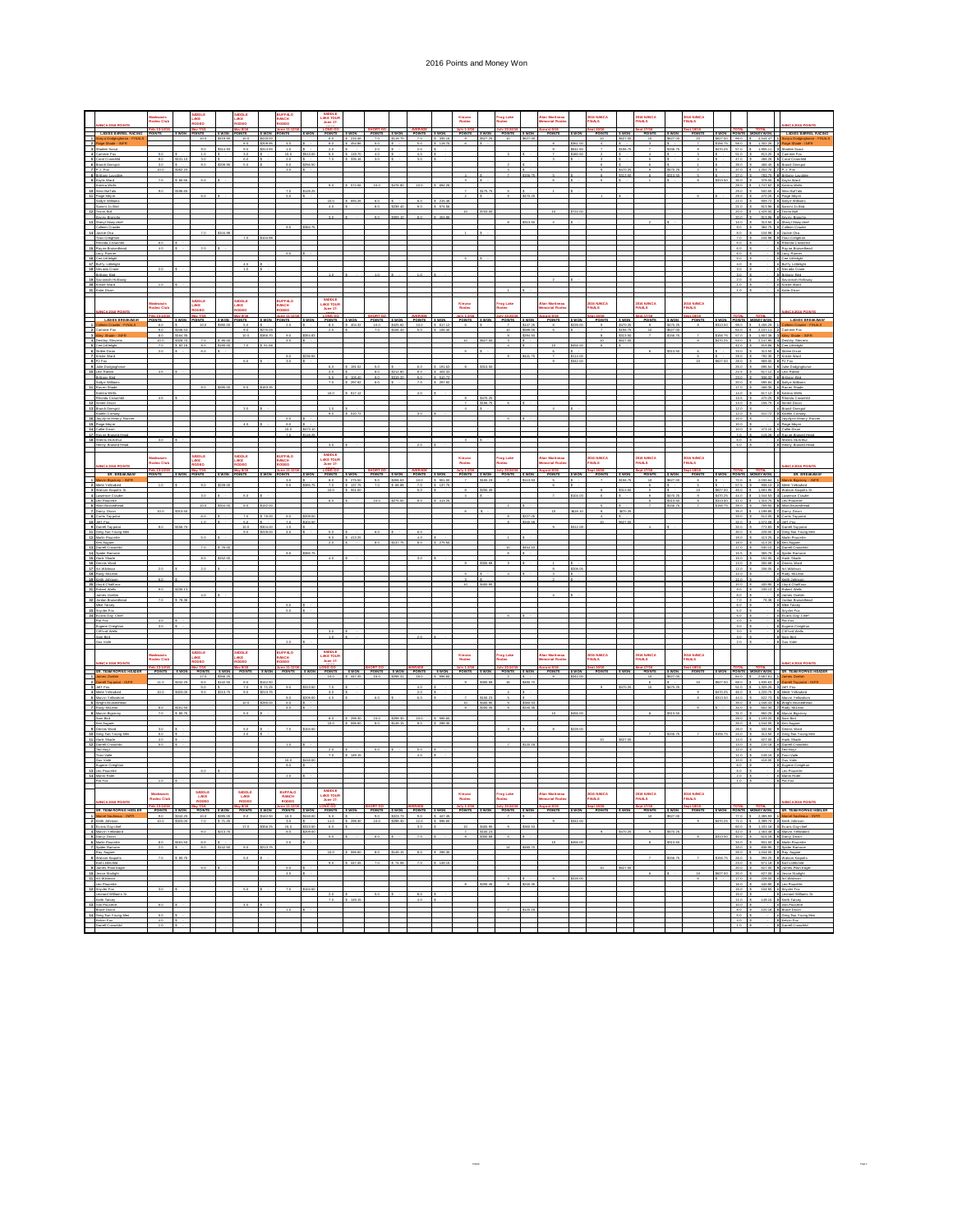## 2016 Points and Money Won

|                                                                                                                                                                                                                                                                                                                                                                                                                 |                                                                                                                                                                                                                                | askwacis<br>odeo Club           |                      | ADDLE<br>AKE<br>ODEO                                                                                                             |                      | <b>MDDLE</b><br>AKE<br>IODEO      |                                | SUFFÆO<br>IANCH<br>IODEO                                                                                        |          | SADDLE<br>LAKE TOUR<br>June 17- |                           |                       |                          |                                      |                          | Kinuso<br>Rodeo         |                         | Frog Lake<br>ideo               |                     | llan Martineau<br>Iemorial Rodec |                          | 2016 NANCA<br>FINALS |                         | 2016 NANCA<br>FINALS            |                            | IDIG NANCA<br>'INALS  |                                  |                                              |                                                                                                                             |                                                                                                                                                              |
|-----------------------------------------------------------------------------------------------------------------------------------------------------------------------------------------------------------------------------------------------------------------------------------------------------------------------------------------------------------------------------------------------------------------|--------------------------------------------------------------------------------------------------------------------------------------------------------------------------------------------------------------------------------|---------------------------------|----------------------|----------------------------------------------------------------------------------------------------------------------------------|----------------------|-----------------------------------|--------------------------------|-----------------------------------------------------------------------------------------------------------------|----------|---------------------------------|---------------------------|-----------------------|--------------------------|--------------------------------------|--------------------------|-------------------------|-------------------------|---------------------------------|---------------------|----------------------------------|--------------------------|----------------------|-------------------------|---------------------------------|----------------------------|-----------------------|----------------------------------|----------------------------------------------|-----------------------------------------------------------------------------------------------------------------------------|--------------------------------------------------------------------------------------------------------------------------------------------------------------|
|                                                                                                                                                                                                                                                                                                                                                                                                                 | LADIES BARREL RACING                                                                                                                                                                                                           | Feb.13-14/16<br>POINTS          |                      | S WON POINTS                                                                                                                     | \$ WON               | May 8/16<br>POINTS                |                                | S WON POINTS                                                                                                    | s wow    |                                 |                           |                       |                          | FONG 40 SWON POINTS SWON POINTS SWON |                          |                         |                         | POINTS SWON POINTS SWON         |                     | oust 6/16<br>POINTS              | \$ WON                   | est.16/16<br>POINTS  | <b>S WON</b>            | <u>ICL17/16</u><br>POINTS       | <b>SWON</b>                | apt.18/16<br>POINTS   |                                  |                                              |                                                                                                                             | S WON POINTS MONEY WON LADIES BARREL RACING                                                                                                                  |
| $\begin{array}{c} \begin{array}{c} \begin{array}{c} \begin{array}{c} \end{array} \\ \begin{array}{c} \end{array} \end{array} \end{array} \end{array} \end{array}$                                                                                                                                                                                                                                               | va Dodzinshorse - FINALI                                                                                                                                                                                                       |                                 |                      | 10.0<br>20                                                                                                                       | \$419.90<br>\$314.93 | 10.0<br>5.0<br>2.0                | \$419.00<br>tom or<br>\$314.93 | 4.0                                                                                                             |          | 6.0<br>80<br>$^{20}$            | \$ 215.46<br>\$454.50     | 7.0<br>50<br>20       | \$119.70                 | 7.0<br>5.0<br>20                     | \$ 335.16<br>\$ 119.7    | $\overline{2}$          | 537.25                  | $10 -$                          | 827.0               |                                  |                          |                      | \$627.00<br>\$156.7     |                                 | 627.00<br>\$156.7          |                       | \$627.00<br>\$156.75<br>\$470.25 |                                              | 89.0 \$ 4,544.47 \$<br>58.0 \$ 1.302.26 2<br>57.0 \$ 1.955.11 3                                                             | ny a Dodgingho                                                                                                                                               |
|                                                                                                                                                                                                                                                                                                                                                                                                                 | ammie Fox<br>Coral Crowchild                                                                                                                                                                                                   | 8.0                             | \$131.10             | 1.0<br>3.0                                                                                                                       |                      | $3.0 -$<br>6.0                    |                                | 10 <sub>10</sub><br>10.0<br>$20 -$                                                                              |          | 50<br>7.0                       | \$112.7<br>\$ 335.16      | 40<br>3.0             |                          | $-4.0$<br>3.0                        |                          |                         |                         |                                 |                     |                                  |                          |                      |                         |                                 |                            |                       |                                  | 51.0                                         |                                                                                                                             | 813.20 4 Cammie Fox<br>47.0 \$ 466.26 \$ Coral Crowchild                                                                                                     |
|                                                                                                                                                                                                                                                                                                                                                                                                                 | <b>Brand Onespo</b><br>$J$ . Fox                                                                                                                                                                                               | 3.0                             |                      | 5.0                                                                                                                              |                      |                                   |                                | 8.0                                                                                                             |          |                                 |                           |                       |                          |                                      |                          |                         |                         |                                 |                     |                                  |                          |                      |                         |                                 |                            |                       |                                  | 39.0<br>$370 - 8$                            | 1.202, 70                                                                                                                   | 466.45 6 Brand Onesoc<br>J. Fox                                                                                                                              |
| $\frac{1}{2}$                                                                                                                                                                                                                                                                                                                                                                                                   | <b>Ittens Lavall</b><br>Key is Ward<br>crira Wells                                                                                                                                                                             |                                 | $-05.5$              |                                                                                                                                  |                      |                                   |                                |                                                                                                                 |          | 9.0                             | \$ 574.50                 | 10.0                  | <b>SATA NO</b>           | 10.0                                 | \$042                    |                         |                         |                                 |                     |                                  |                          |                      |                         |                                 | 313.5                      |                       | \$313.50                         | 37.0                                         | 35.0 \$ 379.05 9 Kayla Ward<br>29.0 \$ 1.747.62 0                                                                           | 783.75 8 Britany Lavall<br><b>Catrina Wells</b>                                                                                                              |
| L                                                                                                                                                                                                                                                                                                                                                                                                               | iasi Buffalo<br>ios Meyer                                                                                                                                                                                                      |                                 | \$196.65             |                                                                                                                                  |                      |                                   |                                | $\frac{75}{50}$                                                                                                 | \$128.25 |                                 |                           |                       |                          |                                      |                          |                         | \$175.75                |                                 |                     |                                  |                          |                      |                         |                                 |                            |                       |                                  | 29.0 \$<br>29.0                              |                                                                                                                             | 500.65 # Alexi Buffalo<br>470.25 # Palge Meyer                                                                                                               |
| $\overline{a}$                                                                                                                                                                                                                                                                                                                                                                                                  | Salve Willams<br>ammi Jo Bird                                                                                                                                                                                                  |                                 |                      |                                                                                                                                  |                      |                                   |                                |                                                                                                                 |          | 10.0<br>4.0                     | \$ 694.25                 | 6.0<br>8.0            | 239.40                   | 6.0<br>9.0                           | \$ 215.46<br>\$ 574.50   |                         |                         |                                 |                     |                                  |                          |                      |                         |                                 |                            |                       |                                  | 21.0                                         | 013.95 0                                                                                                                    | 22.0 \$ 909.72 0 Salire Williams<br>Sammi Jo Bird                                                                                                            |
|                                                                                                                                                                                                                                                                                                                                                                                                                 | Tristin Bull<br>Keyey Branch                                                                                                                                                                                                   |                                 |                      |                                                                                                                                  |                      |                                   |                                |                                                                                                                 |          | 3.0                             |                           | 90                    |                          | 80                                   | 454.8                    |                         |                         |                                 |                     |                                  |                          |                      |                         |                                 |                            |                       |                                  | 200<br>20.0                                  |                                                                                                                             | 1.425.00 # Tristin Bull<br>813.96 B Kevey Bronch                                                                                                             |
|                                                                                                                                                                                                                                                                                                                                                                                                                 | Shary! Many chief<br>Colleen Crawler                                                                                                                                                                                           |                                 |                      |                                                                                                                                  |                      |                                   |                                | 9.0 \$354.75                                                                                                    |          |                                 |                           |                       |                          |                                      |                          |                         |                         |                                 |                     |                                  |                          |                      |                         |                                 |                            |                       |                                  | 14.0 5<br>9.05<br>80 <sup>5</sup>            | 104.95                                                                                                                      | 313.50 # Shary   Many chief<br>354.75 0 Coleen Crawler                                                                                                       |
| $\begin{array}{r} 13 \\ 14 \\ 15 \\ \hline 16 \\ 17 \end{array}$                                                                                                                                                                                                                                                                                                                                                | Jackie Cka<br>Traci Creighton<br>Rhonda Crowchild                                                                                                                                                                              | 6.0                             |                      |                                                                                                                                  | \$104.98             | 7.0                               |                                |                                                                                                                 |          |                                 |                           |                       |                          |                                      |                          |                         |                         |                                 |                     |                                  |                          |                      |                         |                                 |                            |                       |                                  | 7.0<br>6.05                                  | 104.95                                                                                                                      | Jackie Oka<br>Traci Creighton<br>Rhonda Crowchild                                                                                                            |
|                                                                                                                                                                                                                                                                                                                                                                                                                 | Rayne Bruisechead<br>Lacy Runner                                                                                                                                                                                               | $-4.0$                          |                      | 2.0                                                                                                                              |                      |                                   |                                |                                                                                                                 |          |                                 |                           |                       |                          |                                      |                          |                         |                         |                                 |                     |                                  |                          |                      |                         |                                 |                            |                       |                                  | 6.0<br>6.0                                   |                                                                                                                             | <b>Rayne Bruisedhead</b><br>acy Runner                                                                                                                       |
|                                                                                                                                                                                                                                                                                                                                                                                                                 | Cos Litfelight<br><b>Buffy Littlelight</b>                                                                                                                                                                                     |                                 |                      |                                                                                                                                  |                      | $4.0 -$                           |                                |                                                                                                                 |          |                                 |                           |                       |                          |                                      |                          |                         |                         |                                 |                     |                                  |                          |                      |                         |                                 |                            |                       |                                  | 5.0<br>4.0                                   |                                                                                                                             | Cee Littlelight<br><b># Buffy Littlelight</b>                                                                                                                |
| $\begin{array}{r} 13 \\ 12 \\ 20 \end{array}$                                                                                                                                                                                                                                                                                                                                                                   | Nevada Crane<br>Brittany Bird<br>Savannah Holi                                                                                                                                                                                 |                                 |                      |                                                                                                                                  |                      | 1.0                               |                                |                                                                                                                 |          |                                 |                           |                       |                          |                                      |                          |                         |                         |                                 |                     |                                  |                          |                      |                         |                                 |                            |                       |                                  | 3.0 <sub>5</sub><br>$3.0-5$                  |                                                                                                                             | · Nevada Crane<br>Britany Bird<br>Savannah Ho                                                                                                                |
|                                                                                                                                                                                                                                                                                                                                                                                                                 | Kristie Ward<br>Katie Dixon                                                                                                                                                                                                    |                                 |                      |                                                                                                                                  |                      |                                   |                                |                                                                                                                 |          |                                 |                           |                       |                          |                                      |                          |                         |                         |                                 |                     |                                  |                          |                      |                         |                                 |                            |                       |                                  | $2.0$ \$<br>1.0 <sub>5</sub><br>$10 - 5$     |                                                                                                                             | <b># Kristie Ward</b><br><b># Katie Dixon</b>                                                                                                                |
| $\overline{a}$                                                                                                                                                                                                                                                                                                                                                                                                  |                                                                                                                                                                                                                                |                                 |                      |                                                                                                                                  |                      |                                   |                                |                                                                                                                 |          | SADDLE<br>AKE TOUR              |                           |                       |                          |                                      |                          |                         |                         |                                 |                     |                                  |                          |                      |                         |                                 |                            |                       |                                  |                                              |                                                                                                                             |                                                                                                                                                              |
|                                                                                                                                                                                                                                                                                                                                                                                                                 | <b>NANCA 2016 POIL</b>                                                                                                                                                                                                         | skwacia<br>deo Clut             |                      | <b>UDDLE</b><br>JKE<br>IODEO                                                                                                     |                      | ADDLE<br>AKE<br>ODEO              |                                | IUFFÆO<br>IANCH<br>IODEO                                                                                        |          | June 17-                        |                           |                       |                          |                                      |                          | Kinuso<br>Rođeo         |                         | rog Lake                        |                     | lan Martineau<br>emorial Rode    |                          | 2016 NANCA<br>FINALS |                         | 016 NANCA<br>INALS              |                            | DIG NANCA<br>INALS    |                                  |                                              |                                                                                                                             | <b>MANCA 2016</b>                                                                                                                                            |
|                                                                                                                                                                                                                                                                                                                                                                                                                 | LADIES REFACAN<br><b>Teen Crawler - FIN</b>                                                                                                                                                                                    | <b>NTR</b><br>6.0               | wow                  | <b>HNTR</b><br>10.0                                                                                                              | t www<br>\$380.00    | <b>DINTR</b><br>$50 -$            | wow                            | <b>HNTR</b><br>$20 -$                                                                                           |          | <b>INSURE CWAR</b><br>8.0       | \$ 404.32                 | <b>POINTS</b><br>10.0 | <b>t wnw</b><br>\$425.60 | <b>POINTS</b><br>10.0                | <b>EWON</b><br>\$ 617.12 | <b>DOINTR</b><br>$\sim$ |                         | <b>DOUVER</b><br>$\tau$         | t wnw<br>\$147.25   | <b>POINTR</b><br>$\sim$          | <b>C WOM</b><br>\$228.00 | POINTS<br>$\sim$     | t wns<br>\$470.25       | <b>POINTS</b><br>$\overline{2}$ | t wns<br>\$470.25          | <b>POINTS</b><br>$-8$ | <b>EWON</b>                      |                                              | <b>POINTS MONEY WON</b><br>$51.50$ $80$ $5$ $1.65$ $70$                                                                     | $-127488$<br>deen Crawle                                                                                                                                     |
|                                                                                                                                                                                                                                                                                                                                                                                                                 | ermie Fox<br>ky Shade -                                                                                                                                                                                                        | 2.0<br>$rac{80}{100}$           | \$246.53<br>\$164.35 |                                                                                                                                  |                      | 9.0<br>10.0 \$355.70              | tors or                        | $\begin{array}{c} 20 \\ 40 \end{array}$                                                                         | \$354.83 | 20                              |                           | 7.0                   | \$106.40                 | 5.0                                  | \$105.40                 |                         |                         | 10<br>$\overline{\phantom{a}}$  | ban.or<br>\$294.50  |                                  |                          |                      | \$156.75<br>\$313.50    | $10-10$                         | <b>LEST OF</b><br>\$156.75 | $\mathcal{F}$         |                                  | 64.0                                         | 2.107.11<br>$\begin{array}{ccccccccc}\n&3156.75 & 57.0 & 5 & 1,607.38 \\ &5470.25 & 53.0 & 5 & 2,147.95\n\end{array}$       | Cammie Fox<br>Glev Shade -                                                                                                                                   |
|                                                                                                                                                                                                                                                                                                                                                                                                                 | lestry Steven<br>Cos Littleight                                                                                                                                                                                                | 7.0                             | \$328.70<br>\$ 82.18 | 7.0<br>8.0                                                                                                                       | \$190.00             | 7.0                               | \$21.68                        |                                                                                                                 |          |                                 |                           |                       |                          |                                      |                          |                         |                         |                                 |                     |                                  | \$455.00                 |                      | \$627.0                 |                                 |                            |                       |                                  |                                              |                                                                                                                             | Destry Steven<br>42.0 \$ 819.86 \$ Cee Littlelight                                                                                                           |
|                                                                                                                                                                                                                                                                                                                                                                                                                 | Skiles Dixon<br>Kristie Ward<br>PJ Fax                                                                                                                                                                                         | 2.0                             |                      | 6.0                                                                                                                              |                      |                                   |                                | 80<br>3.0                                                                                                       | \$236.55 |                                 |                           |                       |                          |                                      |                          |                         |                         |                                 | \$441.75            |                                  | \$114.00                 |                      |                         |                                 | \$313.50                   | $\epsilon$            |                                  | 29.0<br>25.0                                 | 33.0 \$ 313.50 \$ Skiles Dison<br>$\begin{array}{r l} \hline 792.30 & \textbf{7} \\ \hline 969.00 & \textbf{8} \end{array}$ | Kristie Ward<br>PJ Fox                                                                                                                                       |
|                                                                                                                                                                                                                                                                                                                                                                                                                 | <b>Julie Dodginghor</b><br>Lexi Rabbit                                                                                                                                                                                         | 4.5                             |                      |                                                                                                                                  |                      |                                   |                                |                                                                                                                 |          | 6.0<br>4.0                      | \$ 191.52                 | 50<br>80              | \$212.80                 | 6.0<br>$80 -$                        | \$121.5<br>\$ 404.32     |                         | \$313.5                 |                                 |                     |                                  |                          |                      |                         |                                 |                            |                       |                                  | 25.0 \$                                      | 24.5 \$ 617.12 # Lexi Rabbit                                                                                                | 636.54 9 Julie Dodginghor                                                                                                                                    |
| $\frac{1}{2}$ $\frac{1}{2}$ $\frac{1}{2}$ $\frac{1}{2}$ $\frac{1}{2}$ $\frac{1}{2}$ $\frac{1}{2}$ $\frac{1}{2}$ $\frac{1}{2}$ $\frac{1}{2}$ $\frac{1}{2}$ $\frac{1}{2}$ $\frac{1}{2}$ $\frac{1}{2}$ $\frac{1}{2}$ $\frac{1}{2}$ $\frac{1}{2}$ $\frac{1}{2}$ $\frac{1}{2}$ $\frac{1}{2}$ $\frac{1}{2}$ $\frac{1}{2}$                                                                                             | Brittany Bird<br>Sallye Williams                                                                                                                                                                                               |                                 |                      |                                                                                                                                  |                      |                                   |                                |                                                                                                                 |          | 7.0                             | 5.0 \$ 106.40<br>5.297.92 | 20<br>0.3             | \$319.20                 | 2.0 \$ 510.72<br>7.0                 | \$ 297.92                |                         |                         |                                 |                     |                                  |                          |                      |                         |                                 |                            |                       |                                  | 20.0                                         | 23.0 \$ 206.32                                                                                                              | 936.32 0 Brittery Bird<br>935.84 0 Saly e William                                                                                                            |
|                                                                                                                                                                                                                                                                                                                                                                                                                 | Ray en Shade<br>Katrina Wells<br>honda Crowd                                                                                                                                                                                   |                                 |                      |                                                                                                                                  | \$285.00             |                                   |                                |                                                                                                                 |          | 10.0                            | \$ 617.12                 |                       |                          | $-4.0$                               |                          |                         |                         |                                 |                     |                                  |                          |                      |                         |                                 |                            |                       |                                  | 13.5                                         | $470.25$ 0                                                                                                                  | 17.0 \$ 465.35 # Raven Shade<br>14.0 \$ 617.12 0 Katrina Wells<br>thonda Crowch                                                                              |
|                                                                                                                                                                                                                                                                                                                                                                                                                 | nee Dixo<br>and Onespo                                                                                                                                                                                                         |                                 |                      |                                                                                                                                  |                      |                                   |                                |                                                                                                                 |          |                                 |                           |                       |                          |                                      |                          |                         |                         |                                 |                     |                                  |                          |                      |                         |                                 |                            |                       |                                  | $130 - 1$<br>12.0                            | 156.75                                                                                                                      | <b>Urnee Dixo</b><br><b>#</b> Brand Onespo                                                                                                                   |
| $\frac{1}{2}$                                                                                                                                                                                                                                                                                                                                                                                                   | Katelin Comean<br>water Heavy Ro                                                                                                                                                                                               |                                 |                      |                                                                                                                                  |                      |                                   |                                |                                                                                                                 |          | 9.0                             | \$ 510.72                 |                       |                          |                                      |                          |                         |                         |                                 |                     |                                  |                          |                      |                         |                                 |                            |                       |                                  | $12.0$ $5$<br>10.0                           | 510.72 0                                                                                                                    | Katelin Conserv<br>avzivno Heavy                                                                                                                             |
|                                                                                                                                                                                                                                                                                                                                                                                                                 | os Meyer<br>die Dixon                                                                                                                                                                                                          |                                 |                      |                                                                                                                                  |                      |                                   |                                | 60<br>10.0                                                                                                      | HZ3      |                                 |                           |                       |                          |                                      |                          |                         |                         |                                 |                     |                                  |                          |                      |                         |                                 |                            |                       |                                  | $10.0$ 5<br>10.0                             | 473.1                                                                                                                       | Relations Has<br><b>Calle Dison</b>                                                                                                                          |
| $\frac{17}{18}$                                                                                                                                                                                                                                                                                                                                                                                                 | Rayne Bruised Head<br><b>Sherris McArthur</b><br>nny Bruised He                                                                                                                                                                |                                 |                      |                                                                                                                                  |                      |                                   |                                | 7.0                                                                                                             | \$118.28 |                                 |                           |                       |                          |                                      |                          |                         |                         |                                 |                     |                                  |                          |                      |                         |                                 |                            |                       |                                  | 7.0 \$<br>6.0<br>50 <sup>2</sup>             |                                                                                                                             | 118.25 # Rayne Bruised Hea<br><b># Sherris McArthur</b><br>terry Bruised H                                                                                   |
|                                                                                                                                                                                                                                                                                                                                                                                                                 |                                                                                                                                                                                                                                |                                 |                      | SADDLE                                                                                                                           |                      | SADDLE                            |                                | UFFAO                                                                                                           |          |                                 |                           |                       |                          |                                      |                          |                         |                         |                                 |                     |                                  |                          |                      |                         |                                 |                            |                       |                                  |                                              |                                                                                                                             |                                                                                                                                                              |
|                                                                                                                                                                                                                                                                                                                                                                                                                 |                                                                                                                                                                                                                                | <i>ikwacis</i><br>odeo Club     |                      | <b>AKE</b><br>DEO                                                                                                                |                      | <b>AKE</b><br>DEC                 |                                | <b>ANCH</b><br><b>OBEC</b>                                                                                      |          |                                 |                           |                       |                          |                                      |                          | Kinuso<br>Rodeo         |                         | Irag Lake<br>Iedeo              |                     | lan Martineau<br>sorial Rode     |                          | 2016 NANCA<br>FINALS |                         | 2016 NANCA<br><b>FINALS</b>     |                            | DIG NANCA<br>'INALS   |                                  |                                              |                                                                                                                             |                                                                                                                                                              |
|                                                                                                                                                                                                                                                                                                                                                                                                                 | SR. BREAKAWAY                                                                                                                                                                                                                  | OINTS                           | <b>S WON</b>         | POINTS                                                                                                                           | s was                | <b>POINTS</b>                     | <b>S WON</b>                   | <b>POINTS</b><br>30 <sup>7</sup>                                                                                | \$ WON   | POINTS SWON                     | \$ 275.50                 | 20                    | \$205.63                 | POINTS SWON POINTS SWON              |                          | POINTS SWON             |                         | POINTS SWON                     |                     | POINTS                           | <b>S WON</b>             | POINTS               | <b>S WON</b><br>\$156.7 | POINTS                          | s won                      | POINTS                |                                  | $720 - 5$                                    | SWON POINTS MONEY WON                                                                                                       | <b>SR. BREAKAWAY</b>                                                                                                                                         |
|                                                                                                                                                                                                                                                                                                                                                                                                                 | vie Yellowbird<br>Watson Kaguitta Sr.                                                                                                                                                                                          |                                 |                      | 2.0                                                                                                                              |                      |                                   |                                | 25                                                                                                              |          | $rac{80}{7.0}$<br>10.0          | \$137.75<br>\$ 551.00     | 7.0                   | \$63.55                  | 50                                   |                          |                         |                         |                                 |                     |                                  |                          |                      | \$313.5                 |                                 |                            |                       |                                  |                                              | 2,030.64 1                                                                                                                  | \$527.00 46.0 \$ 1,691.95 3 Watson Keguits St                                                                                                                |
|                                                                                                                                                                                                                                                                                                                                                                                                                 | Lawrence Crawler<br>Leo Poucette<br>Alan Bruiseche                                                                                                                                                                             |                                 |                      | 3.0                                                                                                                              |                      | 6.0                               |                                |                                                                                                                 |          | 60                              |                           | 100                   | \$275.50                 |                                      | \$413.2                  |                         |                         |                                 |                     |                                  |                          |                      |                         |                                 | \$470.25<br>51136          |                       | \$470.25<br>\$313.50             |                                              | 41.0 \$ 1.315.75                                                                                                            | 44.0 \$ 1.044.53 4 Lawrence Crawler<br>Leo Poucette                                                                                                          |
|                                                                                                                                                                                                                                                                                                                                                                                                                 | arcy Dixon<br>Curtis Tay poted                                                                                                                                                                                                 |                                 |                      | 60                                                                                                                               |                      | $7.0 -$                           | \$76.01                        | 8.0                                                                                                             |          |                                 |                           |                       |                          |                                      |                          |                         |                         |                                 | 227.0               |                                  |                          |                      |                         |                                 |                            |                       |                                  | $39.0$ \$                                    | 769.50<br>$1.199.85 - 7.1$                                                                                                  | Darcy Dixon<br>33.0 \$ 512.05 \$ Curtis Tay potal                                                                                                            |
|                                                                                                                                                                                                                                                                                                                                                                                                                 | Jeff Fox<br>mell Taypote                                                                                                                                                                                                       |                                 |                      |                                                                                                                                  |                      | 5.0<br>10.0                       |                                | 7.0<br>$10 -$                                                                                                   | 104.50   |                                 |                           |                       |                          |                                      |                          |                         |                         |                                 |                     |                                  |                          |                      |                         |                                 |                            |                       |                                  | $320 - 5$                                    | 320 S. 107205 4 541 For                                                                                                     | 772.83 9 Damel Taypolat<br>228.00 # Greg Tay Young Ma                                                                                                        |
|                                                                                                                                                                                                                                                                                                                                                                                                                 | Greg Two Young Me<br>Marlin Poucette                                                                                                                                                                                           |                                 |                      |                                                                                                                                  |                      | 9.0                               |                                | 4.0                                                                                                             |          | $9.0 -$                         | \$413.2                   |                       |                          | 40                                   |                          |                         |                         |                                 |                     |                                  |                          |                      |                         |                                 |                            |                       |                                  | 30.0                                         |                                                                                                                             | 19.0 \$ 413.25 # Marin Poucette                                                                                                                              |
| $\begin{array}{c} 13 \\ 14 \\ 15 \end{array}$                                                                                                                                                                                                                                                                                                                                                                   | Ken Augure<br>meli Croy<br>ider Ramon                                                                                                                                                                                          |                                 |                      |                                                                                                                                  |                      |                                   |                                |                                                                                                                 |          | 2.0                             |                           |                       |                          | 8.0                                  |                          |                         |                         |                                 |                     |                                  |                          |                      |                         |                                 |                            |                       |                                  | 18.0<br>$170 - 1$                            |                                                                                                                             | 413.25 0 Ken August<br>13.45 B Not August<br>530.10 B Damel Crowch<br>365.75 B Spider Ramone                                                                 |
|                                                                                                                                                                                                                                                                                                                                                                                                                 | Hank Shade<br>ennis Ward                                                                                                                                                                                                       |                                 |                      | 5.0                                                                                                                              |                      |                                   |                                |                                                                                                                 |          | 4.0                             |                           |                       |                          |                                      |                          |                         |                         |                                 |                     |                                  |                          |                      |                         |                                 |                            |                       |                                  | 15.0 \$<br>13.0 \$                           | $300.65$ $+$                                                                                                                | 152.00 # Hank Shade<br><b>Dennis Ward</b>                                                                                                                    |
| $\begin{array}{c} 16 \\ 11 \\ 16 \end{array}$                                                                                                                                                                                                                                                                                                                                                                   | bassa<br>Art Wildman<br>Rudy McLean                                                                                                                                                                                            |                                 |                      | 20                                                                                                                               |                      |                                   |                                |                                                                                                                 |          |                                 |                           |                       |                          |                                      |                          |                         |                         |                                 |                     |                                  |                          |                      |                         |                                 |                            |                       |                                  | $\frac{120}{120}$ \$                         | 208.05 #                                                                                                                    | # At Widman<br># Rudy McLean                                                                                                                                 |
| $\begin{array}{r} 12 \\ 20 \\ 21 \end{array}$                                                                                                                                                                                                                                                                                                                                                                   | Keith Johnson<br>Lloy d Chalif our<br>Robert Wells                                                                                                                                                                             |                                 | \$235.13             |                                                                                                                                  |                      |                                   |                                |                                                                                                                 |          |                                 |                           |                       |                          |                                      |                          |                         |                         |                                 |                     |                                  |                          |                      |                         |                                 |                            |                       |                                  | $11.0 - 5$<br>10.0<br>9.0                    | 235.13                                                                                                                      | <b># Keith Johnson</b><br>400.90 # Lloyd Chalifou<br>Robert Wells                                                                                            |
| $\overline{z}$                                                                                                                                                                                                                                                                                                                                                                                                  | imes Oxebis<br>Jordan Bruisechea                                                                                                                                                                                               |                                 | \$ 78.38             |                                                                                                                                  |                      |                                   |                                |                                                                                                                 |          |                                 |                           |                       |                          |                                      |                          |                         |                         |                                 |                     |                                  |                          |                      |                         |                                 |                            |                       |                                  | 8.0<br>7.0                                   | 78.35 8                                                                                                                     | James Oxebin<br>Jordan Bruisedh                                                                                                                              |
| $\overline{z}$                                                                                                                                                                                                                                                                                                                                                                                                  | Mike Tatsey<br>Snyder Fox<br>Evans Day Chief                                                                                                                                                                                   |                                 |                      |                                                                                                                                  |                      |                                   |                                | 6.0<br>5.0                                                                                                      |          |                                 |                           |                       |                          |                                      |                          |                         |                         |                                 |                     |                                  |                          |                      |                         |                                 |                            |                       |                                  | $6.0$ 5<br>$5.0$ $5$                         |                                                                                                                             | Mks Tatsey<br>Snyder Fox<br>Evans Day Chie                                                                                                                   |
| 3                                                                                                                                                                                                                                                                                                                                                                                                               | Pat Fox                                                                                                                                                                                                                        | 4.0                             |                      |                                                                                                                                  |                      |                                   |                                |                                                                                                                 |          |                                 |                           |                       |                          |                                      |                          |                         |                         |                                 |                     |                                  |                          |                      |                         |                                 |                            |                       |                                  | $4.0-5$                                      |                                                                                                                             | 0 Pat Fox                                                                                                                                                    |
| $\overline{a}$                                                                                                                                                                                                                                                                                                                                                                                                  | gene Creighton<br>Cliff ord Wells<br>m Bird                                                                                                                                                                                    | 3.0                             |                      |                                                                                                                                  |                      |                                   |                                |                                                                                                                 |          |                                 |                           |                       |                          |                                      |                          |                         |                         |                                 |                     |                                  |                          |                      |                         |                                 |                            |                       |                                  | $3.0$ 5<br>3.0<br>3.0 <sub>5</sub>           |                                                                                                                             | <b>0</b> Eugene Creighto<br>0 Cifford Wells<br>0 Sam Bird                                                                                                    |
|                                                                                                                                                                                                                                                                                                                                                                                                                 | alaV sula                                                                                                                                                                                                                      |                                 |                      |                                                                                                                                  |                      |                                   |                                |                                                                                                                 |          |                                 |                           |                       |                          |                                      |                          |                         |                         |                                 |                     |                                  |                          |                      |                         |                                 |                            |                       |                                  | $2.0$ 5                                      |                                                                                                                             | <b>0</b> Gus Valle                                                                                                                                           |
|                                                                                                                                                                                                                                                                                                                                                                                                                 |                                                                                                                                                                                                                                | odeo Club                       |                      | <b>MODLE</b><br>AKE<br><b>DEO</b>                                                                                                |                      | <b>MODLE</b><br>AKE<br><b>DEO</b> |                                | UFFALO<br>ANCH<br>opeo                                                                                          |          | SADDLE<br>AKE TOUP<br>June 17-  |                           |                       |                          |                                      |                          | Kinuso<br>Rodeo         |                         | rog Lake<br>Iedeo               |                     | lan Martineau<br>emorial Rode    |                          | 2016 NANCA<br>FINALS |                         | 1016 NANCA<br>'INALS            |                            | DIG NANCA<br>INALS    |                                  |                                              |                                                                                                                             |                                                                                                                                                              |
|                                                                                                                                                                                                                                                                                                                                                                                                                 | <b><i>RICA 2016 POINT</i></b><br><b>SE TEMI ROBING HEADER</b>                                                                                                                                                                  |                                 |                      | <b>ININTE</b>                                                                                                                    |                      | <b>POINTS</b>                     |                                | <b>ININTS</b>                                                                                                   |          | <b>INHER</b>                    |                           | POINTR                |                          | POINTS                               | ţ                        |                         |                         | DCENTS                          |                     |                                  |                          |                      |                         | POINTS                          |                            |                       |                                  |                                              | nwsy wn                                                                                                                     | <b><i>IANCA 2016 POI</i></b><br><b>30 TEAM BORING HEAD!</b>                                                                                                  |
|                                                                                                                                                                                                                                                                                                                                                                                                                 | ames Oxebin<br>Famell Taypotat<br>Jeff Fox                                                                                                                                                                                     | 11.0                            |                      | 17.0<br>5.0<br>5.0                                                                                                               | \$142.50             | 5.0<br>7.0                        | \$142.50                       | 2.0                                                                                                             |          | 14.0<br>7.0                     | 447.45                    | 16.0                  |                          | 16.0<br>4.0                          | 595.0                    |                         | \$300.6                 | $\overline{z}$<br>16            |                     |                                  |                          |                      |                         | 10<br>$\epsilon$                |                            |                       | \$627.00                         | 54.0<br>51.0                                 | 2,667.6<br>65.0 \$ 1.935.63 2<br>1.325.25 3 Jeff Fox                                                                        | lames Oxebin<br>Jameš Taypota                                                                                                                                |
|                                                                                                                                                                                                                                                                                                                                                                                                                 | Merie Yellowbird<br>Marvin Yellowhom                                                                                                                                                                                           | 10.0                            | \$323.00             | 2.0                                                                                                                              | \$213.75             | 2.0                               | 57.25<br>\$213.75              | 80                                                                                                              |          | 3.0<br>40                       |                           |                       |                          | 2.0<br>6.0                           |                          |                         | \$100.23                | $\overline{4}$                  |                     |                                  |                          |                      |                         |                                 |                            | $\circ$               | \$470.25<br>\$313.50             |                                              | 46.0 \$ 1,220.75                                                                                                            | Maria Yallowbird                                                                                                                                             |
|                                                                                                                                                                                                                                                                                                                                                                                                                 | <b>Wright Bruisedhead</b><br>Rudy McLean                                                                                                                                                                                       | 8.0                             | \$161.50             |                                                                                                                                  |                      | 10.0                              | \$285.00                       | 6.0<br>4.0                                                                                                      |          |                                 |                           |                       |                          |                                      |                          | $10 -$<br>$\sim$        | \$400.90<br>\$200.45    | $\overline{2}$                  | \$360.57<br>\$240.3 |                                  |                          |                      |                         |                                 |                            |                       |                                  |                                              |                                                                                                                             | 44.0 \$ 622.73 \$ Marvin Yalkashom<br>35.0 \$ 1,045.43 6 Wright Bruisechead<br>34.0 \$ 602.30 7 Rudy McLean                                                  |
|                                                                                                                                                                                                                                                                                                                                                                                                                 | Marvin Bigatony<br>Sam Bird                                                                                                                                                                                                    | $70 -$                          | \$ 80.75             |                                                                                                                                  |                      | 6.0                               |                                |                                                                                                                 |          | 8.0                             | \$ 298.30                 | 10.0                  |                          | 10.0                                 | \$ 596.6                 |                         |                         |                                 |                     |                                  |                          |                      |                         |                                 | \$313.50                   |                       |                                  | 25.0                                         | 31.0 \$ 850.25 \$<br>1,193.20                                                                                               | 8 Marvin Bigston<br>8 Sam Bird                                                                                                                               |
| $\begin{array}{c}\n\phantom{00}3\phantom{0}3\phantom{0}3\phantom{0}4\phantom{0}\phantom{0}5\phantom{0}4\phantom{0}\phantom{0}5\phantom{0}4\phantom{0}\phantom{0}5\phantom{0}4\phantom{0}\phantom{0}5\phantom{0}4\phantom{0}\phantom{0}5\phantom{0}4\phantom{0}\phantom{0}5\phantom{0}4\phantom{0}\phantom{0}5\phantom{0}5\phantom{0}5\phantom{0}5\phantom{0}5\phantom{0}5\phantom{0}5\phantom{0}5\phantom{0}5\$ | Ken Augare<br>Dennis Ward                                                                                                                                                                                                      | $3.0 -$<br>6.0                  |                      |                                                                                                                                  |                      | 5.0<br>40 <sup>2</sup>            |                                | 7.0                                                                                                             | 104.50   | 10.0                            | \$ 596.60                 | 8.0                   | \$149.15                 | 8.0                                  | \$ 298.30                |                         |                         |                                 |                     |                                  |                          |                      |                         |                                 |                            |                       | teat 75                          | 24.0                                         | 25.0 \$ 1,044.05 0 Ken Augure<br>313.50                                                                                     | 25.0 \$ 332.50 9 Dennis Ward                                                                                                                                 |
| $\overline{1}$                                                                                                                                                                                                                                                                                                                                                                                                  | Greg Two Young Me<br>Hank Shade<br><b>Darrell Crowchild</b>                                                                                                                                                                    |                                 |                      |                                                                                                                                  |                      |                                   |                                |                                                                                                                 |          |                                 |                           |                       |                          |                                      |                          |                         |                         |                                 |                     |                                  |                          |                      |                         |                                 |                            |                       |                                  | 14.0<br>13.0 \$                              | 627.00                                                                                                                      | Greg Two Young Mi<br>Hank Shade<br>120.18 # Danel Crowchild                                                                                                  |
| $\overline{a}$                                                                                                                                                                                                                                                                                                                                                                                                  | Ted Host<br>Traci Valle                                                                                                                                                                                                        |                                 |                      |                                                                                                                                  |                      |                                   |                                |                                                                                                                 |          | 2.0                             |                           |                       |                          | 5.0                                  |                          |                         |                         |                                 |                     |                                  |                          |                      |                         |                                 |                            |                       |                                  | $12.0$ \$<br>11.0                            | 149.15 0                                                                                                                    | 0 Ted Hoyt<br>haci Valle                                                                                                                                     |
|                                                                                                                                                                                                                                                                                                                                                                                                                 | ius Vale<br>gene Creig                                                                                                                                                                                                         |                                 |                      |                                                                                                                                  |                      |                                   |                                | 5.0                                                                                                             |          |                                 |                           |                       |                          |                                      |                          |                         |                         |                                 |                     |                                  |                          |                      |                         |                                 |                            |                       |                                  | $10.0$ 5<br>5.0                              | 418.00 0                                                                                                                    | Gos Vale<br>Lugane Cre                                                                                                                                       |
| $\frac{1}{2}$                                                                                                                                                                                                                                                                                                                                                                                                   | Leo Poucette<br>Martin Rider<br>at Fox                                                                                                                                                                                         |                                 |                      |                                                                                                                                  |                      |                                   |                                |                                                                                                                 |          |                                 |                           |                       |                          |                                      |                          |                         |                         |                                 |                     |                                  |                          |                      |                         |                                 |                            |                       |                                  | 6.0 5<br>2.0<br>$\sim$                       |                                                                                                                             | <b># Leo Poucette</b><br><b># Martin Ride</b><br>Pat For                                                                                                     |
|                                                                                                                                                                                                                                                                                                                                                                                                                 |                                                                                                                                                                                                                                |                                 |                      | SADDLE                                                                                                                           |                      | SADDLE                            |                                | <b>BUFFALO</b>                                                                                                  |          |                                 |                           |                       |                          |                                      |                          |                         |                         |                                 |                     |                                  |                          |                      |                         |                                 |                            |                       |                                  |                                              |                                                                                                                             |                                                                                                                                                              |
|                                                                                                                                                                                                                                                                                                                                                                                                                 |                                                                                                                                                                                                                                | todeo Club                      |                      | LAKE<br>RODEO                                                                                                                    |                      | LAKE<br>RODEO                     |                                | RANCH<br>RODEO                                                                                                  |          | SADDLE<br>AKE TOUI<br>June 17-  |                           |                       |                          |                                      |                          | Kinuso<br>Rodeo         |                         | frog Lake<br>tedeo              |                     | llan Martineau<br>Iemorial Rodes |                          | 2016 NANCA<br>FINALS |                         | 2016 NANCA<br>FINALS            |                            | DIG NANCA<br>'INALS   |                                  |                                              |                                                                                                                             |                                                                                                                                                              |
|                                                                                                                                                                                                                                                                                                                                                                                                                 | <b>NAVCA2016 POINTS<br/> SR. TEAN ROPING HEELE!<br/> 1 Marcel Sauhasus - INFR<br/> 2 Keith Johnson<br/> 3 Evans Day chief</b>                                                                                                  | $9.0$ \$242.25<br>10.0 \$323.00 |                      | $\begin{array}{r}\n10.0 \\ 10.0 \\ \hline\n7.0 \\ \end{array}\n\quad\n\begin{array}{r}\n5285.00 \\ \hline\n5.71.25\n\end{array}$ |                      |                                   | 8.0 \$142.50                   |                                                                                                                 |          |                                 |                           |                       |                          | 120 \$447.45                         |                          |                         |                         | $\frac{100 \times 23 - 24}{15}$ |                     | <b>August 6/16</b>               |                          |                      |                         |                                 | \$627.00                   |                       |                                  |                                              |                                                                                                                             |                                                                                                                                                              |
|                                                                                                                                                                                                                                                                                                                                                                                                                 |                                                                                                                                                                                                                                |                                 |                      | 2.0                                                                                                                              | \$213.75             | 17.0                              | \$356.25                       | $\begin{array}{c cc} 10.0 & 5418.00 \\ 3.0 & 5 & \cdot \\ \hline 15.0 & 5313.50 \\ \end{array}$<br>8.0 \$209.00 |          |                                 |                           |                       |                          | 3.0                                  | $5 - 1$                  |                         | 10 \$400.90<br>\$100.23 |                                 | \$360.53            | $\overline{2}$                   | \$342.0                  |                      |                         |                                 | \$470.25                   |                       | \$470.25                         |                                              |                                                                                                                             | PURTIES MONET WORK 1 STATE IN MARKET WAS ARRESTED FOR THE TREE TO STATE IN A 2012 WAS ARRESTED FOR THE TREE ON A 12 STATE IN A 2012 WAS ARRESTED BY CHARGED. |
|                                                                                                                                                                                                                                                                                                                                                                                                                 |                                                                                                                                                                                                                                | 8.0                             | \$161.50             | 60                                                                                                                               |                      |                                   |                                | 20                                                                                                              |          | 50                              |                           | 6.0                   |                          | 7.0                                  |                          | $\tau$                  | \$300.68                |                                 |                     |                                  | 456.00                   |                      | \$470.25                |                                 | \$313.50                   |                       | \$313.50                         |                                              |                                                                                                                             | 42.0 \$ 1,453.45 4 Marvin Yellowbird<br>40.0 \$ 614.18 \$ Darry Dixon<br>34.0 \$ 931.00 \$ Marin Poucette<br>33.0 \$ 836.95 7 Spider Ramone                  |
|                                                                                                                                                                                                                                                                                                                                                                                                                 |                                                                                                                                                                                                                                | 2.0                             |                      | 80                                                                                                                               | \$142.5              |                                   | 213.7                          |                                                                                                                 |          | 10.0 \$ 596.60                  |                           | $80 -$                | \$149.15                 | 80 \$ 298.30                         |                          |                         |                         | 14.                             | \$480.70            |                                  |                          |                      |                         |                                 |                            |                       |                                  |                                              |                                                                                                                             | 25.0 \$ 1.044.05 0 Ray August                                                                                                                                |
|                                                                                                                                                                                                                                                                                                                                                                                                                 | 3 Evans Day:chief<br>4 Mary's Velockhid<br>5 Darcy Dison<br>6 Marin Poucette<br>7 Spider Ramonte<br>8 Watson Kaquitta<br>5 Markon Kaquitta<br>5 Markon Kaquitta<br>10 Janua Pharické<br>10 Janua Pharické<br>10 Janua Pharické | 70                              | 50.75                |                                                                                                                                  |                      |                                   |                                |                                                                                                                 |          | 20                              | \$47.45                   | 7.0                   | \$74.58                  | 7.0                                  | \$ 149.15                |                         |                         |                                 |                     |                                  |                          |                      |                         |                                 | \$156.7                    |                       | \$156.75                         | 25.0 \$<br>$23.0$ \$                         |                                                                                                                             | 394.25 & Watson Keguits<br>671.15 & Earl Littlechid                                                                                                          |
|                                                                                                                                                                                                                                                                                                                                                                                                                 |                                                                                                                                                                                                                                |                                 |                      |                                                                                                                                  |                      |                                   |                                | 50<br>4.0                                                                                                       |          |                                 |                           |                       |                          |                                      |                          |                         |                         |                                 |                     |                                  |                          |                      |                         |                                 |                            |                       | \$627.00                         | 20.0 \$<br>17.0                              |                                                                                                                             | 627.00 9 James Plain Eagle<br>20.0 \$ 627.00 # Jame Startisht                                                                                                |
|                                                                                                                                                                                                                                                                                                                                                                                                                 | 10 Jesse Statist<br>11 Art Wildman<br>Leo Poucette<br>12 Snyder Fox                                                                                                                                                            |                                 |                      |                                                                                                                                  |                      |                                   |                                |                                                                                                                 |          |                                 |                           |                       |                          |                                      |                          |                         |                         |                                 |                     |                                  |                          |                      |                         |                                 |                            |                       |                                  | $16.0 - 5$<br>15.0                           |                                                                                                                             |                                                                                                                                                              |
|                                                                                                                                                                                                                                                                                                                                                                                                                 | Leonard William<br>Keith Tatsay<br>13 Van Pourette<br>Leonard Williams Sr.                                                                                                                                                     |                                 |                      |                                                                                                                                  |                      |                                   |                                |                                                                                                                 |          | $20 -$<br>7.0                   | \$142.15                  | 5.0                   |                          | 8.0<br>40                            |                          |                         |                         |                                 |                     |                                  |                          |                      |                         |                                 |                            |                       |                                  | 15.0 \$<br>11.0                              |                                                                                                                             | O Leonard Williams St.<br>140.15 0 Keith Tatsey                                                                                                              |
|                                                                                                                                                                                                                                                                                                                                                                                                                 | Bruce Dixon<br>Bruce Dixon<br>14 Greg Two Young Men                                                                                                                                                                            | $50 -$                          |                      |                                                                                                                                  |                      |                                   |                                | $1.0 -$                                                                                                         |          |                                 |                           |                       |                          |                                      |                          |                         |                         |                                 | 120.1               |                                  |                          |                      |                         |                                 |                            |                       |                                  | $\frac{100}{80}$ = $\frac{5}{8}$<br>$50 - 5$ | 120.1                                                                                                                       | # Van Poucette<br>Creo Two Young Men                                                                                                                         |
| i.                                                                                                                                                                                                                                                                                                                                                                                                              | Kelvin Fox<br>Darrell Crowchild                                                                                                                                                                                                | 4.0<br>$10^{-1}$                |                      |                                                                                                                                  |                      |                                   |                                |                                                                                                                 |          |                                 |                           |                       |                          |                                      |                          |                         |                         |                                 |                     |                                  |                          |                      |                         |                                 |                            |                       |                                  | 4.0<br>10 <sup>2</sup>                       |                                                                                                                             | <b>O</b> Kelvin Fox<br><b>Danel Crowchild</b>                                                                                                                |
| ۰                                                                                                                                                                                                                                                                                                                                                                                                               |                                                                                                                                                                                                                                |                                 |                      |                                                                                                                                  |                      |                                   |                                |                                                                                                                 |          |                                 |                           |                       |                          |                                      |                          |                         |                         |                                 |                     |                                  |                          |                      |                         |                                 |                            |                       |                                  |                                              |                                                                                                                             |                                                                                                                                                              |